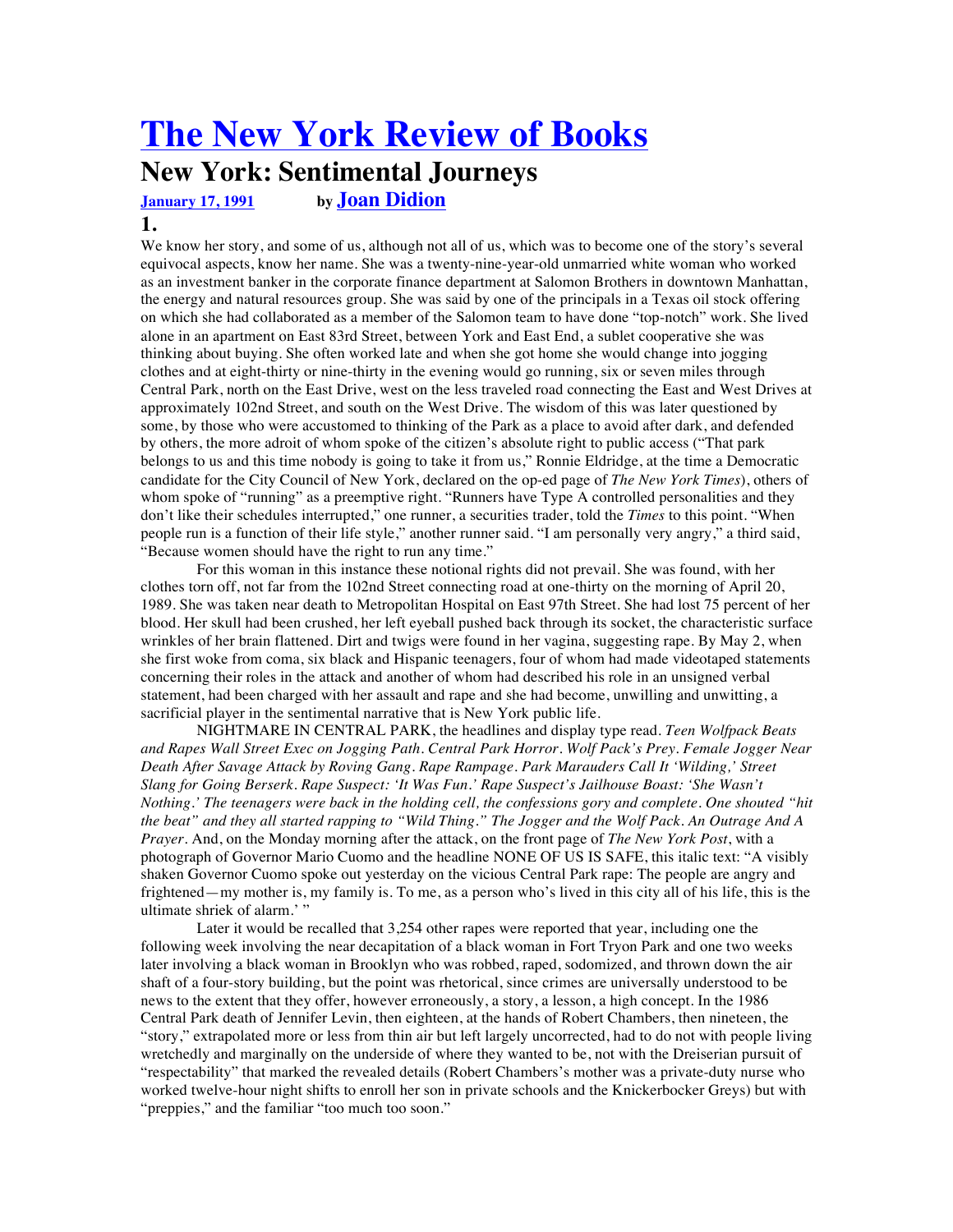# **The New York Review of Books New York: Sentimental Journeys**

**January 17, 1991** by **Joan Didion** 

# **1.**

We know her story, and some of us, although not all of us, which was to become one of the story's several equivocal aspects, know her name. She was a twenty-nine-year-old unmarried white woman who worked as an investment banker in the corporate finance department at Salomon Brothers in downtown Manhattan, the energy and natural resources group. She was said by one of the principals in a Texas oil stock offering on which she had collaborated as a member of the Salomon team to have done "top-notch" work. She lived alone in an apartment on East 83rd Street, between York and East End, a sublet cooperative she was thinking about buying. She often worked late and when she got home she would change into jogging clothes and at eight-thirty or nine-thirty in the evening would go running, six or seven miles through Central Park, north on the East Drive, west on the less traveled road connecting the East and West Drives at approximately 102nd Street, and south on the West Drive. The wisdom of this was later questioned by some, by those who were accustomed to thinking of the Park as a place to avoid after dark, and defended by others, the more adroit of whom spoke of the citizen's absolute right to public access ("That park belongs to us and this time nobody is going to take it from us," Ronnie Eldridge, at the time a Democratic candidate for the City Council of New York, declared on the op-ed page of *The New York Times*), others of whom spoke of "running" as a preemptive right. "Runners have Type A controlled personalities and they don't like their schedules interrupted," one runner, a securities trader, told the *Times* to this point. "When people run is a function of their life style," another runner said. "I am personally very angry," a third said, "Because women should have the right to run any time."

For this woman in this instance these notional rights did not prevail. She was found, with her clothes torn off, not far from the 102nd Street connecting road at one-thirty on the morning of April 20, 1989. She was taken near death to Metropolitan Hospital on East 97th Street. She had lost 75 percent of her blood. Her skull had been crushed, her left eyeball pushed back through its socket, the characteristic surface wrinkles of her brain flattened. Dirt and twigs were found in her vagina, suggesting rape. By May 2, when she first woke from coma, six black and Hispanic teenagers, four of whom had made videotaped statements concerning their roles in the attack and another of whom had described his role in an unsigned verbal statement, had been charged with her assault and rape and she had become, unwilling and unwitting, a sacrificial player in the sentimental narrative that is New York public life.

NIGHTMARE IN CENTRAL PARK, the headlines and display type read. *Teen Wolfpack Beats and Rapes Wall Street Exec on Jogging Path. Central Park Horror. Wolf Pack's Prey. Female Jogger Near Death After Savage Attack by Roving Gang. Rape Rampage. Park Marauders Call It 'Wilding,' Street Slang for Going Berserk. Rape Suspect: 'It Was Fun.' Rape Suspect's Jailhouse Boast: 'She Wasn't Nothing.' The teenagers were back in the holding cell, the confessions gory and complete. One shouted "hit the beat" and they all started rapping to "Wild Thing." The Jogger and the Wolf Pack. An Outrage And A Prayer*. And, on the Monday morning after the attack, on the front page of *The New York Post*, with a photograph of Governor Mario Cuomo and the headline NONE OF US IS SAFE, this italic text: "A visibly shaken Governor Cuomo spoke out yesterday on the vicious Central Park rape: The people are angry and frightened—my mother is, my family is. To me, as a person who's lived in this city all of his life, this is the ultimate shriek of alarm.' "

Later it would be recalled that 3,254 other rapes were reported that year, including one the following week involving the near decapitation of a black woman in Fort Tryon Park and one two weeks later involving a black woman in Brooklyn who was robbed, raped, sodomized, and thrown down the air shaft of a four-story building, but the point was rhetorical, since crimes are universally understood to be news to the extent that they offer, however erroneously, a story, a lesson, a high concept. In the 1986 Central Park death of Jennifer Levin, then eighteen, at the hands of Robert Chambers, then nineteen, the "story," extrapolated more or less from thin air but left largely uncorrected, had to do not with people living wretchedly and marginally on the underside of where they wanted to be, not with the Dreiserian pursuit of "respectability" that marked the revealed details (Robert Chambers's mother was a private-duty nurse who worked twelve-hour night shifts to enroll her son in private schools and the Knickerbocker Greys) but with "preppies," and the familiar "too much too soon."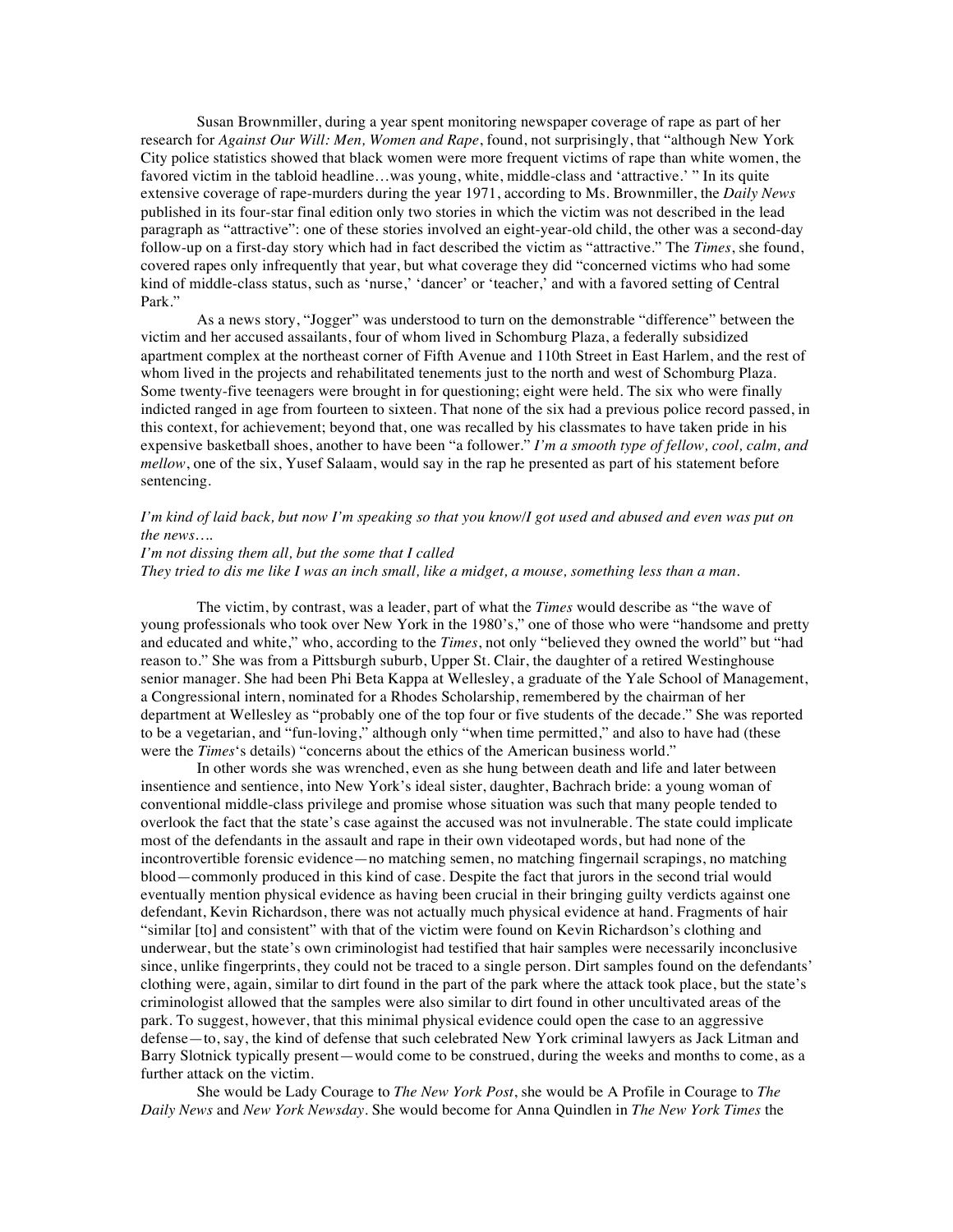Susan Brownmiller, during a year spent monitoring newspaper coverage of rape as part of her research for *Against Our Will: Men, Women and Rape*, found, not surprisingly, that "although New York City police statistics showed that black women were more frequent victims of rape than white women, the favored victim in the tabloid headline…was young, white, middle-class and 'attractive.' " In its quite extensive coverage of rape-murders during the year 1971, according to Ms. Brownmiller, the *Daily News* published in its four-star final edition only two stories in which the victim was not described in the lead paragraph as "attractive": one of these stories involved an eight-year-old child, the other was a second-day follow-up on a first-day story which had in fact described the victim as "attractive." The *Times*, she found, covered rapes only infrequently that year, but what coverage they did "concerned victims who had some kind of middle-class status, such as 'nurse,' 'dancer' or 'teacher,' and with a favored setting of Central Park."

As a news story, "Jogger" was understood to turn on the demonstrable "difference" between the victim and her accused assailants, four of whom lived in Schomburg Plaza, a federally subsidized apartment complex at the northeast corner of Fifth Avenue and 110th Street in East Harlem, and the rest of whom lived in the projects and rehabilitated tenements just to the north and west of Schomburg Plaza. Some twenty-five teenagers were brought in for questioning; eight were held. The six who were finally indicted ranged in age from fourteen to sixteen. That none of the six had a previous police record passed, in this context, for achievement; beyond that, one was recalled by his classmates to have taken pride in his expensive basketball shoes, another to have been "a follower." *I'm a smooth type of fellow, cool, calm, and mellow*, one of the six, Yusef Salaam, would say in the rap he presented as part of his statement before sentencing.

## *I'm kind of laid back, but now I'm speaking so that you know/I got used and abused and even was put on the news….*

#### *I'm not dissing them all, but the some that I called They tried to dis me like I was an inch small, like a midget, a mouse, something less than a man*.

The victim, by contrast, was a leader, part of what the *Times* would describe as "the wave of young professionals who took over New York in the 1980's," one of those who were "handsome and pretty and educated and white," who, according to the *Times*, not only "believed they owned the world" but "had reason to." She was from a Pittsburgh suburb, Upper St. Clair, the daughter of a retired Westinghouse senior manager. She had been Phi Beta Kappa at Wellesley, a graduate of the Yale School of Management, a Congressional intern, nominated for a Rhodes Scholarship, remembered by the chairman of her department at Wellesley as "probably one of the top four or five students of the decade." She was reported to be a vegetarian, and "fun-loving," although only "when time permitted," and also to have had (these were the *Times*'s details) "concerns about the ethics of the American business world."

In other words she was wrenched, even as she hung between death and life and later between insentience and sentience, into New York's ideal sister, daughter, Bachrach bride: a young woman of conventional middle-class privilege and promise whose situation was such that many people tended to overlook the fact that the state's case against the accused was not invulnerable. The state could implicate most of the defendants in the assault and rape in their own videotaped words, but had none of the incontrovertible forensic evidence—no matching semen, no matching fingernail scrapings, no matching blood—commonly produced in this kind of case. Despite the fact that jurors in the second trial would eventually mention physical evidence as having been crucial in their bringing guilty verdicts against one defendant, Kevin Richardson, there was not actually much physical evidence at hand. Fragments of hair "similar [to] and consistent" with that of the victim were found on Kevin Richardson's clothing and underwear, but the state's own criminologist had testified that hair samples were necessarily inconclusive since, unlike fingerprints, they could not be traced to a single person. Dirt samples found on the defendants' clothing were, again, similar to dirt found in the part of the park where the attack took place, but the state's criminologist allowed that the samples were also similar to dirt found in other uncultivated areas of the park. To suggest, however, that this minimal physical evidence could open the case to an aggressive defense—to, say, the kind of defense that such celebrated New York criminal lawyers as Jack Litman and Barry Slotnick typically present—would come to be construed, during the weeks and months to come, as a further attack on the victim.

She would be Lady Courage to *The New York Post*, she would be A Profile in Courage to *The Daily News* and *New York Newsday*. She would become for Anna Quindlen in *The New York Times* the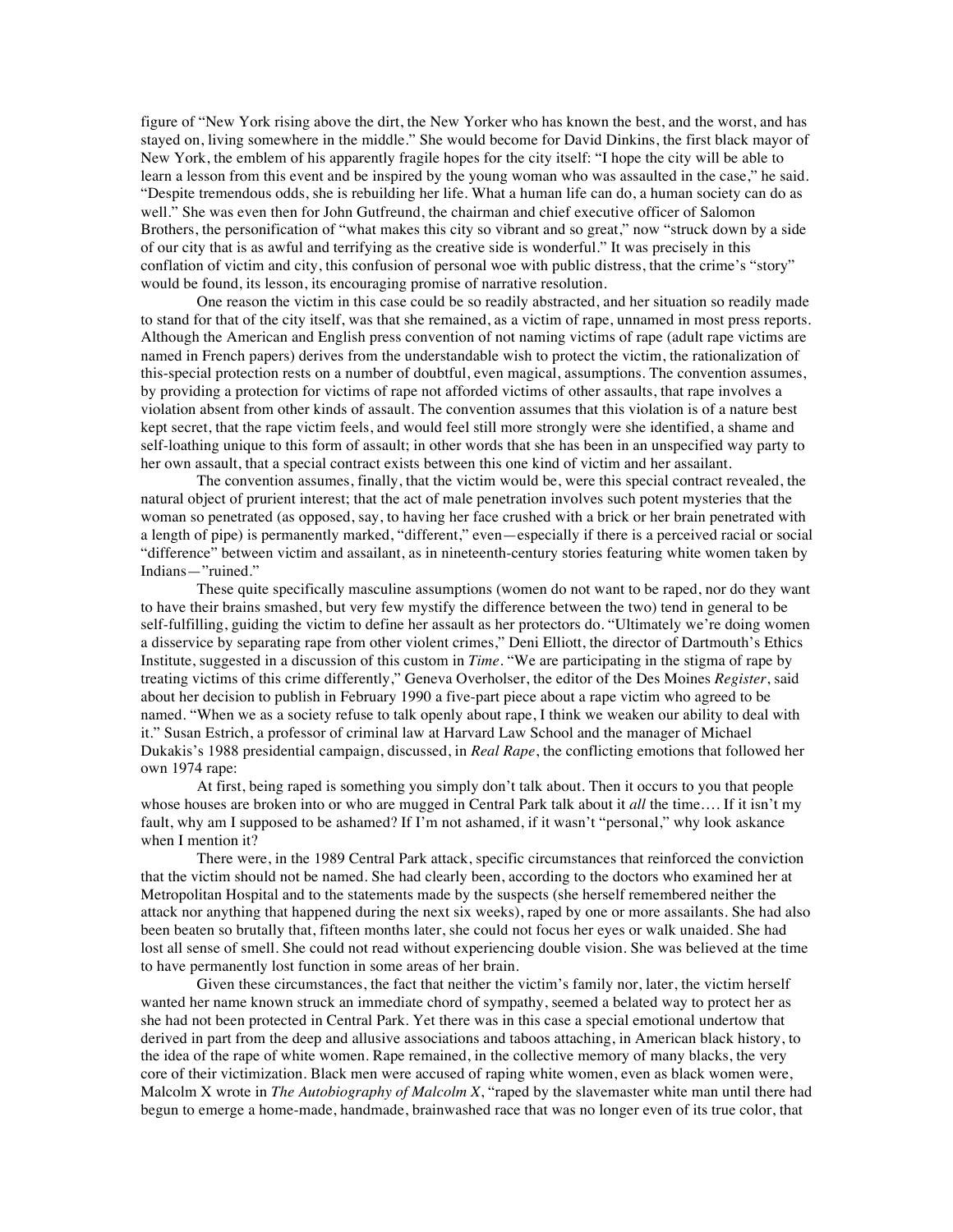figure of "New York rising above the dirt, the New Yorker who has known the best, and the worst, and has stayed on, living somewhere in the middle." She would become for David Dinkins, the first black mayor of New York, the emblem of his apparently fragile hopes for the city itself: "I hope the city will be able to learn a lesson from this event and be inspired by the young woman who was assaulted in the case," he said. "Despite tremendous odds, she is rebuilding her life. What a human life can do, a human society can do as well." She was even then for John Gutfreund, the chairman and chief executive officer of Salomon Brothers, the personification of "what makes this city so vibrant and so great," now "struck down by a side of our city that is as awful and terrifying as the creative side is wonderful." It was precisely in this conflation of victim and city, this confusion of personal woe with public distress, that the crime's "story" would be found, its lesson, its encouraging promise of narrative resolution.

One reason the victim in this case could be so readily abstracted, and her situation so readily made to stand for that of the city itself, was that she remained, as a victim of rape, unnamed in most press reports. Although the American and English press convention of not naming victims of rape (adult rape victims are named in French papers) derives from the understandable wish to protect the victim, the rationalization of this-special protection rests on a number of doubtful, even magical, assumptions. The convention assumes, by providing a protection for victims of rape not afforded victims of other assaults, that rape involves a violation absent from other kinds of assault. The convention assumes that this violation is of a nature best kept secret, that the rape victim feels, and would feel still more strongly were she identified, a shame and self-loathing unique to this form of assault; in other words that she has been in an unspecified way party to her own assault, that a special contract exists between this one kind of victim and her assailant.

The convention assumes, finally, that the victim would be, were this special contract revealed, the natural object of prurient interest; that the act of male penetration involves such potent mysteries that the woman so penetrated (as opposed, say, to having her face crushed with a brick or her brain penetrated with a length of pipe) is permanently marked, "different," even—especially if there is a perceived racial or social "difference" between victim and assailant, as in nineteenth-century stories featuring white women taken by Indians—"ruined."

These quite specifically masculine assumptions (women do not want to be raped, nor do they want to have their brains smashed, but very few mystify the difference between the two) tend in general to be self-fulfilling, guiding the victim to define her assault as her protectors do. "Ultimately we're doing women a disservice by separating rape from other violent crimes," Deni Elliott, the director of Dartmouth's Ethics Institute, suggested in a discussion of this custom in *Time*. "We are participating in the stigma of rape by treating victims of this crime differently," Geneva Overholser, the editor of the Des Moines *Register*, said about her decision to publish in February 1990 a five-part piece about a rape victim who agreed to be named. "When we as a society refuse to talk openly about rape, I think we weaken our ability to deal with it." Susan Estrich, a professor of criminal law at Harvard Law School and the manager of Michael Dukakis's 1988 presidential campaign, discussed, in *Real Rape*, the conflicting emotions that followed her own 1974 rape:

At first, being raped is something you simply don't talk about. Then it occurs to you that people whose houses are broken into or who are mugged in Central Park talk about it *all* the time.... If it isn't my fault, why am I supposed to be ashamed? If I'm not ashamed, if it wasn't "personal," why look askance when I mention it?

There were, in the 1989 Central Park attack, specific circumstances that reinforced the conviction that the victim should not be named. She had clearly been, according to the doctors who examined her at Metropolitan Hospital and to the statements made by the suspects (she herself remembered neither the attack nor anything that happened during the next six weeks), raped by one or more assailants. She had also been beaten so brutally that, fifteen months later, she could not focus her eyes or walk unaided. She had lost all sense of smell. She could not read without experiencing double vision. She was believed at the time to have permanently lost function in some areas of her brain.

Given these circumstances, the fact that neither the victim's family nor, later, the victim herself wanted her name known struck an immediate chord of sympathy, seemed a belated way to protect her as she had not been protected in Central Park. Yet there was in this case a special emotional undertow that derived in part from the deep and allusive associations and taboos attaching, in American black history, to the idea of the rape of white women. Rape remained, in the collective memory of many blacks, the very core of their victimization. Black men were accused of raping white women, even as black women were, Malcolm X wrote in *The Autobiography of Malcolm X*, "raped by the slavemaster white man until there had begun to emerge a home-made, handmade, brainwashed race that was no longer even of its true color, that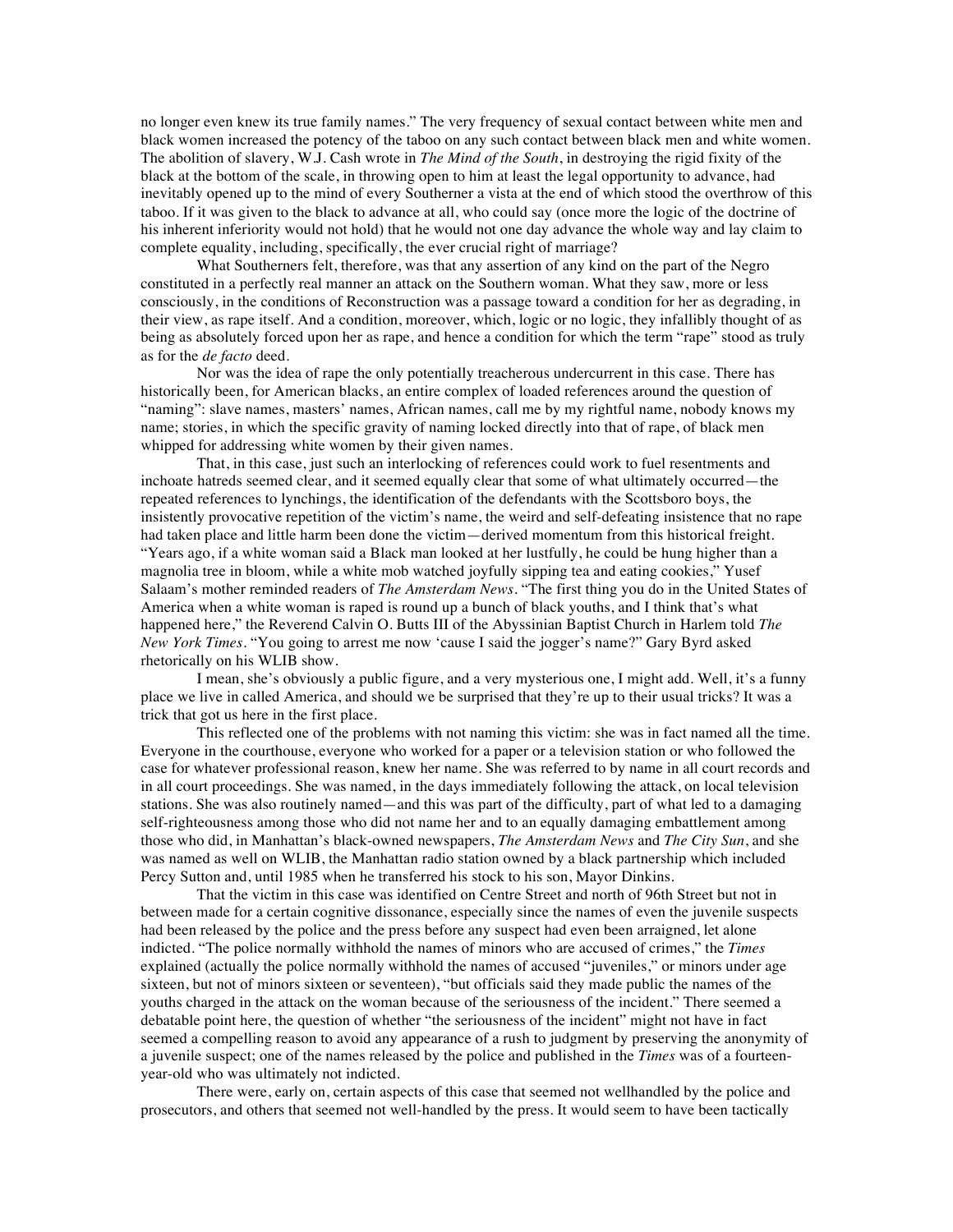no longer even knew its true family names." The very frequency of sexual contact between white men and black women increased the potency of the taboo on any such contact between black men and white women. The abolition of slavery, W.J. Cash wrote in *The Mind of the South*, in destroying the rigid fixity of the black at the bottom of the scale, in throwing open to him at least the legal opportunity to advance, had inevitably opened up to the mind of every Southerner a vista at the end of which stood the overthrow of this taboo. If it was given to the black to advance at all, who could say (once more the logic of the doctrine of his inherent inferiority would not hold) that he would not one day advance the whole way and lay claim to complete equality, including, specifically, the ever crucial right of marriage?

What Southerners felt, therefore, was that any assertion of any kind on the part of the Negro constituted in a perfectly real manner an attack on the Southern woman. What they saw, more or less consciously, in the conditions of Reconstruction was a passage toward a condition for her as degrading, in their view, as rape itself. And a condition, moreover, which, logic or no logic, they infallibly thought of as being as absolutely forced upon her as rape, and hence a condition for which the term "rape" stood as truly as for the *de facto* deed.

Nor was the idea of rape the only potentially treacherous undercurrent in this case. There has historically been, for American blacks, an entire complex of loaded references around the question of "naming": slave names, masters' names, African names, call me by my rightful name, nobody knows my name; stories, in which the specific gravity of naming locked directly into that of rape, of black men whipped for addressing white women by their given names.

That, in this case, just such an interlocking of references could work to fuel resentments and inchoate hatreds seemed clear, and it seemed equally clear that some of what ultimately occurred—the repeated references to lynchings, the identification of the defendants with the Scottsboro boys, the insistently provocative repetition of the victim's name, the weird and self-defeating insistence that no rape had taken place and little harm been done the victim—derived momentum from this historical freight. "Years ago, if a white woman said a Black man looked at her lustfully, he could be hung higher than a magnolia tree in bloom, while a white mob watched joyfully sipping tea and eating cookies," Yusef Salaam's mother reminded readers of *The Amsterdam News*. "The first thing you do in the United States of America when a white woman is raped is round up a bunch of black youths, and I think that's what happened here," the Reverend Calvin O. Butts III of the Abyssinian Baptist Church in Harlem told *The New York Times*. "You going to arrest me now 'cause I said the jogger's name?" Gary Byrd asked rhetorically on his WLIB show.

I mean, she's obviously a public figure, and a very mysterious one, I might add. Well, it's a funny place we live in called America, and should we be surprised that they're up to their usual tricks? It was a trick that got us here in the first place.

This reflected one of the problems with not naming this victim: she was in fact named all the time. Everyone in the courthouse, everyone who worked for a paper or a television station or who followed the case for whatever professional reason, knew her name. She was referred to by name in all court records and in all court proceedings. She was named, in the days immediately following the attack, on local television stations. She was also routinely named—and this was part of the difficulty, part of what led to a damaging self-righteousness among those who did not name her and to an equally damaging embattlement among those who did, in Manhattan's black-owned newspapers, *The Amsterdam News* and *The City Sun*, and she was named as well on WLIB, the Manhattan radio station owned by a black partnership which included Percy Sutton and, until 1985 when he transferred his stock to his son, Mayor Dinkins.

That the victim in this case was identified on Centre Street and north of 96th Street but not in between made for a certain cognitive dissonance, especially since the names of even the juvenile suspects had been released by the police and the press before any suspect had even been arraigned, let alone indicted. "The police normally withhold the names of minors who are accused of crimes," the *Times* explained (actually the police normally withhold the names of accused "juveniles," or minors under age sixteen, but not of minors sixteen or seventeen), "but officials said they made public the names of the youths charged in the attack on the woman because of the seriousness of the incident." There seemed a debatable point here, the question of whether "the seriousness of the incident" might not have in fact seemed a compelling reason to avoid any appearance of a rush to judgment by preserving the anonymity of a juvenile suspect; one of the names released by the police and published in the *Times* was of a fourteenyear-old who was ultimately not indicted.

There were, early on, certain aspects of this case that seemed not wellhandled by the police and prosecutors, and others that seemed not well-handled by the press. It would seem to have been tactically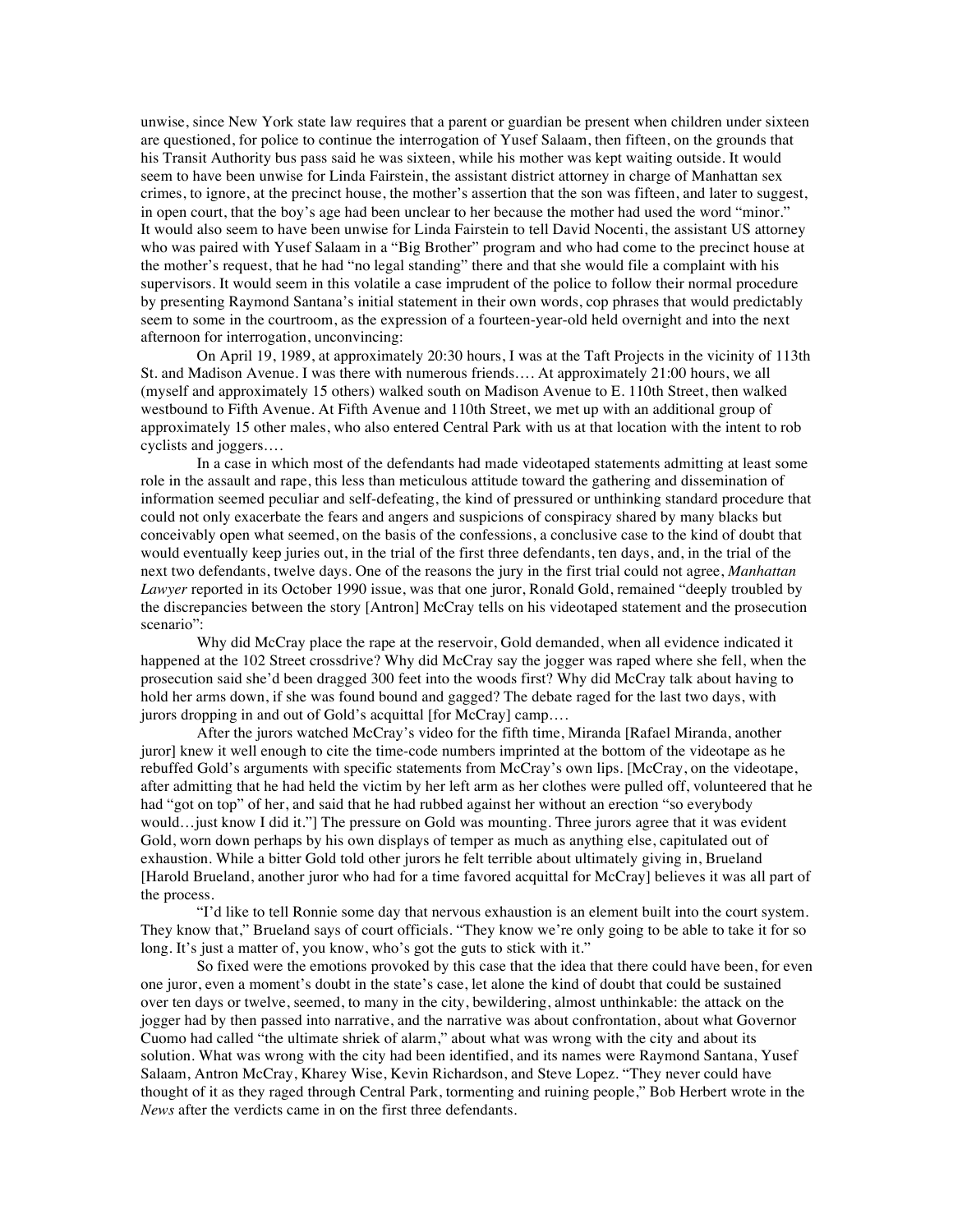unwise, since New York state law requires that a parent or guardian be present when children under sixteen are questioned, for police to continue the interrogation of Yusef Salaam, then fifteen, on the grounds that his Transit Authority bus pass said he was sixteen, while his mother was kept waiting outside. It would seem to have been unwise for Linda Fairstein, the assistant district attorney in charge of Manhattan sex crimes, to ignore, at the precinct house, the mother's assertion that the son was fifteen, and later to suggest, in open court, that the boy's age had been unclear to her because the mother had used the word "minor." It would also seem to have been unwise for Linda Fairstein to tell David Nocenti, the assistant US attorney who was paired with Yusef Salaam in a "Big Brother" program and who had come to the precinct house at the mother's request, that he had "no legal standing" there and that she would file a complaint with his supervisors. It would seem in this volatile a case imprudent of the police to follow their normal procedure by presenting Raymond Santana's initial statement in their own words, cop phrases that would predictably seem to some in the courtroom, as the expression of a fourteen-year-old held overnight and into the next afternoon for interrogation, unconvincing:

On April 19, 1989, at approximately 20:30 hours, I was at the Taft Projects in the vicinity of 113th St. and Madison Avenue. I was there with numerous friends…. At approximately 21:00 hours, we all (myself and approximately 15 others) walked south on Madison Avenue to E. 110th Street, then walked westbound to Fifth Avenue. At Fifth Avenue and 110th Street, we met up with an additional group of approximately 15 other males, who also entered Central Park with us at that location with the intent to rob cyclists and joggers….

In a case in which most of the defendants had made videotaped statements admitting at least some role in the assault and rape, this less than meticulous attitude toward the gathering and dissemination of information seemed peculiar and self-defeating, the kind of pressured or unthinking standard procedure that could not only exacerbate the fears and angers and suspicions of conspiracy shared by many blacks but conceivably open what seemed, on the basis of the confessions, a conclusive case to the kind of doubt that would eventually keep juries out, in the trial of the first three defendants, ten days, and, in the trial of the next two defendants, twelve days. One of the reasons the jury in the first trial could not agree, *Manhattan Lawyer* reported in its October 1990 issue, was that one juror, Ronald Gold, remained "deeply troubled by the discrepancies between the story [Antron] McCray tells on his videotaped statement and the prosecution scenario":

Why did McCray place the rape at the reservoir, Gold demanded, when all evidence indicated it happened at the 102 Street crossdrive? Why did McCray say the jogger was raped where she fell, when the prosecution said she'd been dragged 300 feet into the woods first? Why did McCray talk about having to hold her arms down, if she was found bound and gagged? The debate raged for the last two days, with jurors dropping in and out of Gold's acquittal [for McCray] camp....

After the jurors watched McCray's video for the fifth time, Miranda [Rafael Miranda, another juror] knew it well enough to cite the time-code numbers imprinted at the bottom of the videotape as he rebuffed Gold's arguments with specific statements from McCray's own lips. [McCray, on the videotape, after admitting that he had held the victim by her left arm as her clothes were pulled off, volunteered that he had "got on top" of her, and said that he had rubbed against her without an erection "so everybody would... just know I did it."] The pressure on Gold was mounting. Three jurors agree that it was evident Gold, worn down perhaps by his own displays of temper as much as anything else, capitulated out of exhaustion. While a bitter Gold told other jurors he felt terrible about ultimately giving in, Brueland [Harold Brueland, another juror who had for a time favored acquittal for McCray] believes it was all part of the process.

"I'd like to tell Ronnie some day that nervous exhaustion is an element built into the court system. They know that," Brueland says of court officials. "They know we're only going to be able to take it for so long. It's just a matter of, you know, who's got the guts to stick with it."

So fixed were the emotions provoked by this case that the idea that there could have been, for even one juror, even a moment's doubt in the state's case, let alone the kind of doubt that could be sustained over ten days or twelve, seemed, to many in the city, bewildering, almost unthinkable: the attack on the jogger had by then passed into narrative, and the narrative was about confrontation, about what Governor Cuomo had called "the ultimate shriek of alarm," about what was wrong with the city and about its solution. What was wrong with the city had been identified, and its names were Raymond Santana, Yusef Salaam, Antron McCray, Kharey Wise, Kevin Richardson, and Steve Lopez. "They never could have thought of it as they raged through Central Park, tormenting and ruining people," Bob Herbert wrote in the *News* after the verdicts came in on the first three defendants.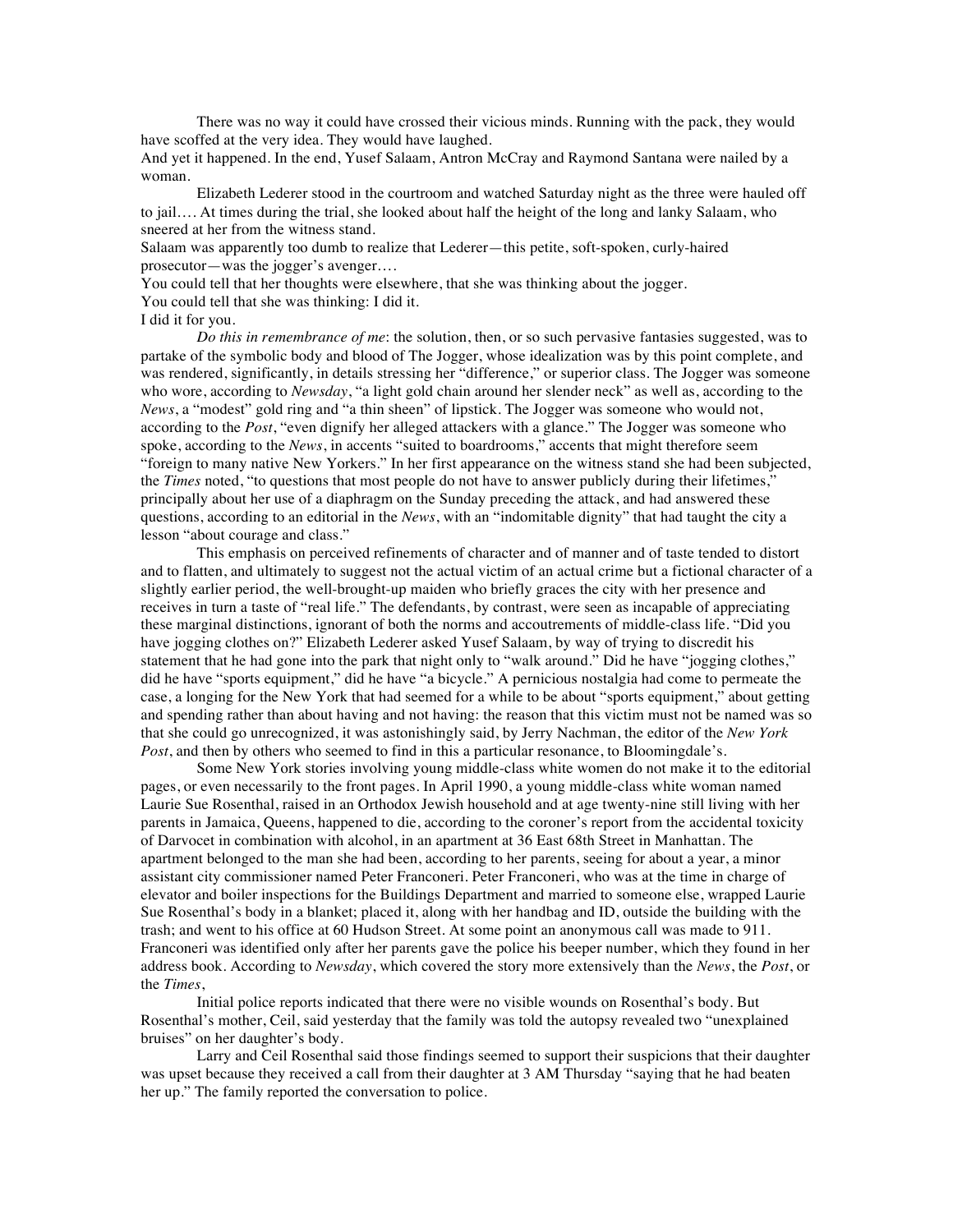There was no way it could have crossed their vicious minds. Running with the pack, they would have scoffed at the very idea. They would have laughed.

And yet it happened. In the end, Yusef Salaam, Antron McCray and Raymond Santana were nailed by a woman.

Elizabeth Lederer stood in the courtroom and watched Saturday night as the three were hauled off to jail…. At times during the trial, she looked about half the height of the long and lanky Salaam, who sneered at her from the witness stand.

Salaam was apparently too dumb to realize that Lederer—this petite, soft-spoken, curly-haired prosecutor—was the jogger's avenger….

You could tell that her thoughts were elsewhere, that she was thinking about the jogger.

You could tell that she was thinking: I did it.

#### I did it for you.

*Do this in remembrance of me*: the solution, then, or so such pervasive fantasies suggested, was to partake of the symbolic body and blood of The Jogger, whose idealization was by this point complete, and was rendered, significantly, in details stressing her "difference," or superior class. The Jogger was someone who wore, according to *Newsday*, "a light gold chain around her slender neck" as well as, according to the *News*, a "modest" gold ring and "a thin sheen" of lipstick. The Jogger was someone who would not, according to the *Post*, "even dignify her alleged attackers with a glance." The Jogger was someone who spoke, according to the *News*, in accents "suited to boardrooms," accents that might therefore seem "foreign to many native New Yorkers." In her first appearance on the witness stand she had been subjected, the *Times* noted, "to questions that most people do not have to answer publicly during their lifetimes," principally about her use of a diaphragm on the Sunday preceding the attack, and had answered these questions, according to an editorial in the *News*, with an "indomitable dignity" that had taught the city a lesson "about courage and class."

This emphasis on perceived refinements of character and of manner and of taste tended to distort and to flatten, and ultimately to suggest not the actual victim of an actual crime but a fictional character of a slightly earlier period, the well-brought-up maiden who briefly graces the city with her presence and receives in turn a taste of "real life." The defendants, by contrast, were seen as incapable of appreciating these marginal distinctions, ignorant of both the norms and accoutrements of middle-class life. "Did you have jogging clothes on?" Elizabeth Lederer asked Yusef Salaam, by way of trying to discredit his statement that he had gone into the park that night only to "walk around." Did he have "jogging clothes," did he have "sports equipment," did he have "a bicycle." A pernicious nostalgia had come to permeate the case, a longing for the New York that had seemed for a while to be about "sports equipment," about getting and spending rather than about having and not having: the reason that this victim must not be named was so that she could go unrecognized, it was astonishingly said, by Jerry Nachman, the editor of the *New York Post*, and then by others who seemed to find in this a particular resonance, to Bloomingdale's.

Some New York stories involving young middle-class white women do not make it to the editorial pages, or even necessarily to the front pages. In April 1990, a young middle-class white woman named Laurie Sue Rosenthal, raised in an Orthodox Jewish household and at age twenty-nine still living with her parents in Jamaica, Queens, happened to die, according to the coroner's report from the accidental toxicity of Darvocet in combination with alcohol, in an apartment at 36 East 68th Street in Manhattan. The apartment belonged to the man she had been, according to her parents, seeing for about a year, a minor assistant city commissioner named Peter Franconeri. Peter Franconeri, who was at the time in charge of elevator and boiler inspections for the Buildings Department and married to someone else, wrapped Laurie Sue Rosenthal's body in a blanket; placed it, along with her handbag and ID, outside the building with the trash; and went to his office at 60 Hudson Street. At some point an anonymous call was made to 911. Franconeri was identified only after her parents gave the police his beeper number, which they found in her address book. According to *Newsday*, which covered the story more extensively than the *News*, the *Post*, or the *Times*,

Initial police reports indicated that there were no visible wounds on Rosenthal's body. But Rosenthal's mother, Ceil, said yesterday that the family was told the autopsy revealed two "unexplained bruises" on her daughter's body.

Larry and Ceil Rosenthal said those findings seemed to support their suspicions that their daughter was upset because they received a call from their daughter at 3 AM Thursday "saying that he had beaten her up." The family reported the conversation to police.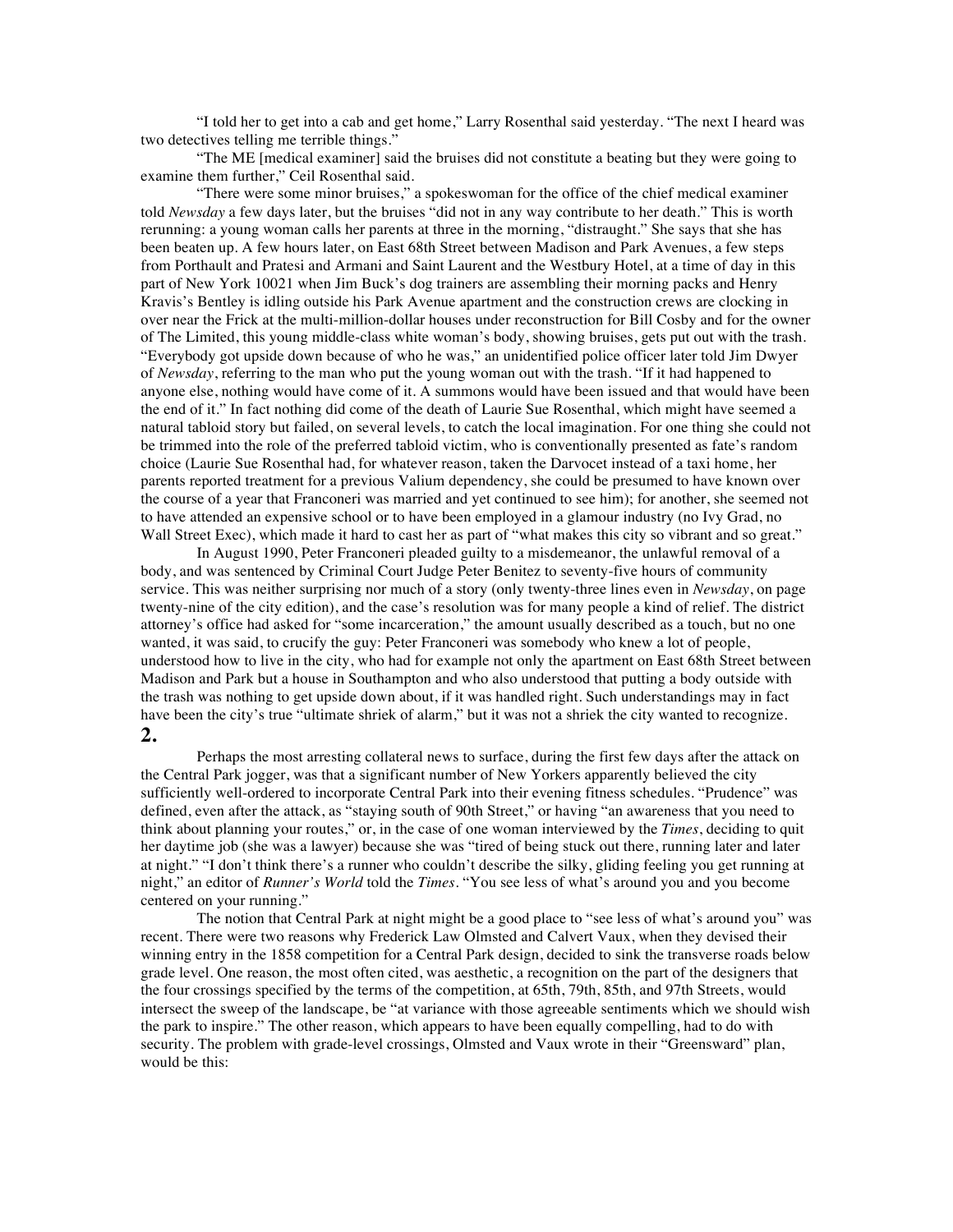"I told her to get into a cab and get home," Larry Rosenthal said yesterday. "The next I heard was two detectives telling me terrible things."

"The ME [medical examiner] said the bruises did not constitute a beating but they were going to examine them further," Ceil Rosenthal said.

"There were some minor bruises," a spokeswoman for the office of the chief medical examiner told *Newsday* a few days later, but the bruises "did not in any way contribute to her death." This is worth rerunning: a young woman calls her parents at three in the morning, "distraught." She says that she has been beaten up. A few hours later, on East 68th Street between Madison and Park Avenues, a few steps from Porthault and Pratesi and Armani and Saint Laurent and the Westbury Hotel, at a time of day in this part of New York 10021 when Jim Buck's dog trainers are assembling their morning packs and Henry Kravis's Bentley is idling outside his Park Avenue apartment and the construction crews are clocking in over near the Frick at the multi-million-dollar houses under reconstruction for Bill Cosby and for the owner of The Limited, this young middle-class white woman's body, showing bruises, gets put out with the trash. "Everybody got upside down because of who he was," an unidentified police officer later told Jim Dwyer of *Newsday*, referring to the man who put the young woman out with the trash. "If it had happened to anyone else, nothing would have come of it. A summons would have been issued and that would have been the end of it." In fact nothing did come of the death of Laurie Sue Rosenthal, which might have seemed a natural tabloid story but failed, on several levels, to catch the local imagination. For one thing she could not be trimmed into the role of the preferred tabloid victim, who is conventionally presented as fate's random choice (Laurie Sue Rosenthal had, for whatever reason, taken the Darvocet instead of a taxi home, her parents reported treatment for a previous Valium dependency, she could be presumed to have known over the course of a year that Franconeri was married and yet continued to see him); for another, she seemed not to have attended an expensive school or to have been employed in a glamour industry (no Ivy Grad, no Wall Street Exec), which made it hard to cast her as part of "what makes this city so vibrant and so great."

In August 1990, Peter Franconeri pleaded guilty to a misdemeanor, the unlawful removal of a body, and was sentenced by Criminal Court Judge Peter Benitez to seventy-five hours of community service. This was neither surprising nor much of a story (only twenty-three lines even in *Newsday*, on page twenty-nine of the city edition), and the case's resolution was for many people a kind of relief. The district attorney's office had asked for "some incarceration," the amount usually described as a touch, but no one wanted, it was said, to crucify the guy: Peter Franconeri was somebody who knew a lot of people, understood how to live in the city, who had for example not only the apartment on East 68th Street between Madison and Park but a house in Southampton and who also understood that putting a body outside with the trash was nothing to get upside down about, if it was handled right. Such understandings may in fact have been the city's true "ultimate shriek of alarm," but it was not a shriek the city wanted to recognize. **2.**

Perhaps the most arresting collateral news to surface, during the first few days after the attack on the Central Park jogger, was that a significant number of New Yorkers apparently believed the city sufficiently well-ordered to incorporate Central Park into their evening fitness schedules. "Prudence" was defined, even after the attack, as "staying south of 90th Street," or having "an awareness that you need to think about planning your routes," or, in the case of one woman interviewed by the *Times*, deciding to quit her daytime job (she was a lawyer) because she was "tired of being stuck out there, running later and later at night." "I don't think there's a runner who couldn't describe the silky, gliding feeling you get running at night," an editor of *Runner's World* told the *Times*. "You see less of what's around you and you become centered on your running."

The notion that Central Park at night might be a good place to "see less of what's around you" was recent. There were two reasons why Frederick Law Olmsted and Calvert Vaux, when they devised their winning entry in the 1858 competition for a Central Park design, decided to sink the transverse roads below grade level. One reason, the most often cited, was aesthetic, a recognition on the part of the designers that the four crossings specified by the terms of the competition, at 65th, 79th, 85th, and 97th Streets, would intersect the sweep of the landscape, be "at variance with those agreeable sentiments which we should wish the park to inspire." The other reason, which appears to have been equally compelling, had to do with security. The problem with grade-level crossings, Olmsted and Vaux wrote in their "Greensward" plan, would be this: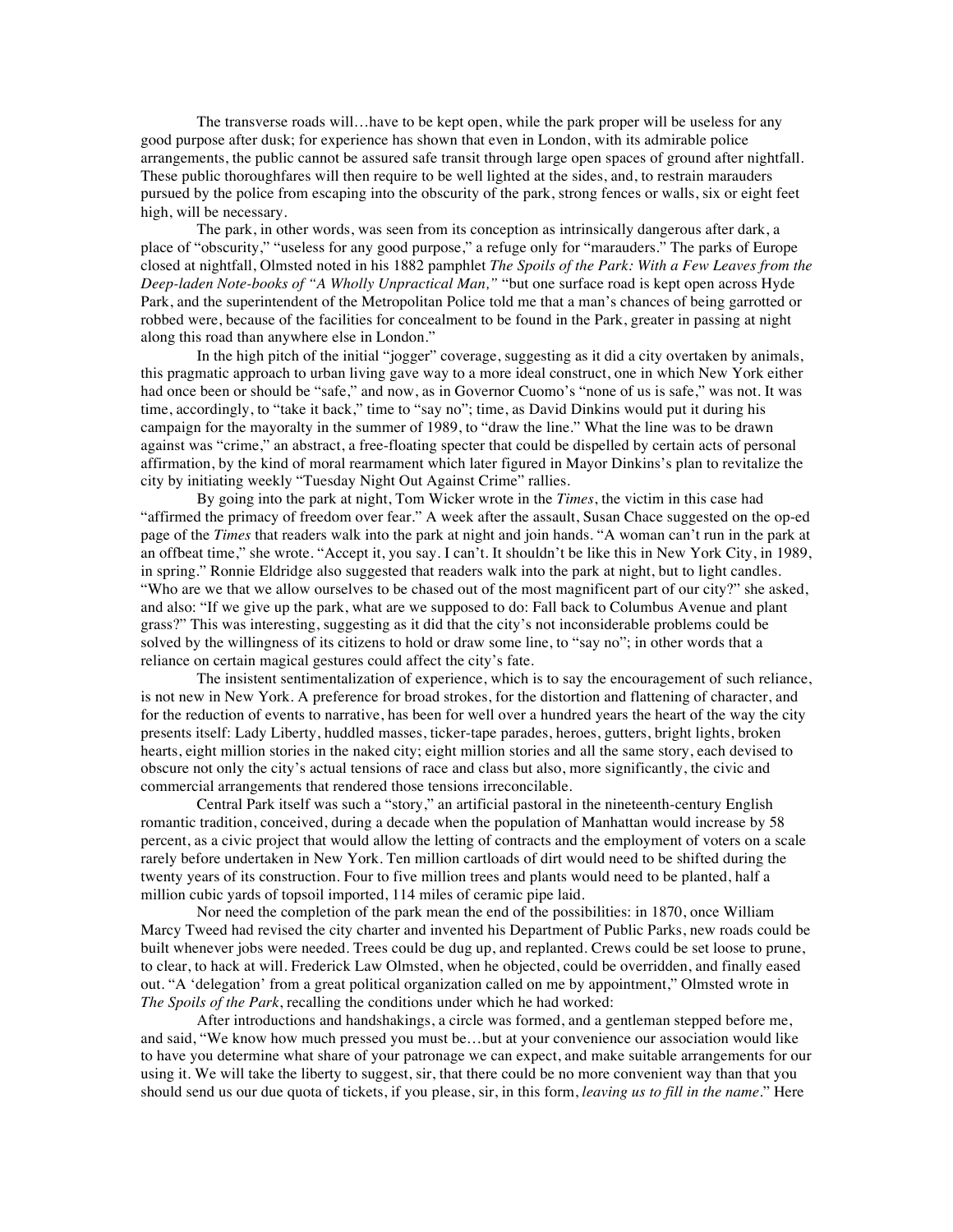The transverse roads will…have to be kept open, while the park proper will be useless for any good purpose after dusk; for experience has shown that even in London, with its admirable police arrangements, the public cannot be assured safe transit through large open spaces of ground after nightfall. These public thoroughfares will then require to be well lighted at the sides, and, to restrain marauders pursued by the police from escaping into the obscurity of the park, strong fences or walls, six or eight feet high, will be necessary.

The park, in other words, was seen from its conception as intrinsically dangerous after dark, a place of "obscurity," "useless for any good purpose," a refuge only for "marauders." The parks of Europe closed at nightfall, Olmsted noted in his 1882 pamphlet *The Spoils of the Park: With a Few Leaves from the Deep-laden Note-books of "A Wholly Unpractical Man,"* "but one surface road is kept open across Hyde Park, and the superintendent of the Metropolitan Police told me that a man's chances of being garrotted or robbed were, because of the facilities for concealment to be found in the Park, greater in passing at night along this road than anywhere else in London."

In the high pitch of the initial "jogger" coverage, suggesting as it did a city overtaken by animals, this pragmatic approach to urban living gave way to a more ideal construct, one in which New York either had once been or should be "safe," and now, as in Governor Cuomo's "none of us is safe," was not. It was time, accordingly, to "take it back," time to "say no"; time, as David Dinkins would put it during his campaign for the mayoralty in the summer of 1989, to "draw the line." What the line was to be drawn against was "crime," an abstract, a free-floating specter that could be dispelled by certain acts of personal affirmation, by the kind of moral rearmament which later figured in Mayor Dinkins's plan to revitalize the city by initiating weekly "Tuesday Night Out Against Crime" rallies.

By going into the park at night, Tom Wicker wrote in the *Times*, the victim in this case had "affirmed the primacy of freedom over fear." A week after the assault, Susan Chace suggested on the op-ed page of the *Times* that readers walk into the park at night and join hands. "A woman can't run in the park at an offbeat time," she wrote. "Accept it, you say. I can't. It shouldn't be like this in New York City, in 1989, in spring." Ronnie Eldridge also suggested that readers walk into the park at night, but to light candles. "Who are we that we allow ourselves to be chased out of the most magnificent part of our city?" she asked, and also: "If we give up the park, what are we supposed to do: Fall back to Columbus Avenue and plant grass?" This was interesting, suggesting as it did that the city's not inconsiderable problems could be solved by the willingness of its citizens to hold or draw some line, to "say no"; in other words that a reliance on certain magical gestures could affect the city's fate.

The insistent sentimentalization of experience, which is to say the encouragement of such reliance, is not new in New York. A preference for broad strokes, for the distortion and flattening of character, and for the reduction of events to narrative, has been for well over a hundred years the heart of the way the city presents itself: Lady Liberty, huddled masses, ticker-tape parades, heroes, gutters, bright lights, broken hearts, eight million stories in the naked city; eight million stories and all the same story, each devised to obscure not only the city's actual tensions of race and class but also, more significantly, the civic and commercial arrangements that rendered those tensions irreconcilable.

Central Park itself was such a "story," an artificial pastoral in the nineteenth-century English romantic tradition, conceived, during a decade when the population of Manhattan would increase by 58 percent, as a civic project that would allow the letting of contracts and the employment of voters on a scale rarely before undertaken in New York. Ten million cartloads of dirt would need to be shifted during the twenty years of its construction. Four to five million trees and plants would need to be planted, half a million cubic yards of topsoil imported, 114 miles of ceramic pipe laid.

Nor need the completion of the park mean the end of the possibilities: in 1870, once William Marcy Tweed had revised the city charter and invented his Department of Public Parks, new roads could be built whenever jobs were needed. Trees could be dug up, and replanted. Crews could be set loose to prune, to clear, to hack at will. Frederick Law Olmsted, when he objected, could be overridden, and finally eased out. "A 'delegation' from a great political organization called on me by appointment," Olmsted wrote in *The Spoils of the Park*, recalling the conditions under which he had worked:

After introductions and handshakings, a circle was formed, and a gentleman stepped before me, and said, "We know how much pressed you must be…but at your convenience our association would like to have you determine what share of your patronage we can expect, and make suitable arrangements for our using it. We will take the liberty to suggest, sir, that there could be no more convenient way than that you should send us our due quota of tickets, if you please, sir, in this form, *leaving us to fill in the name*." Here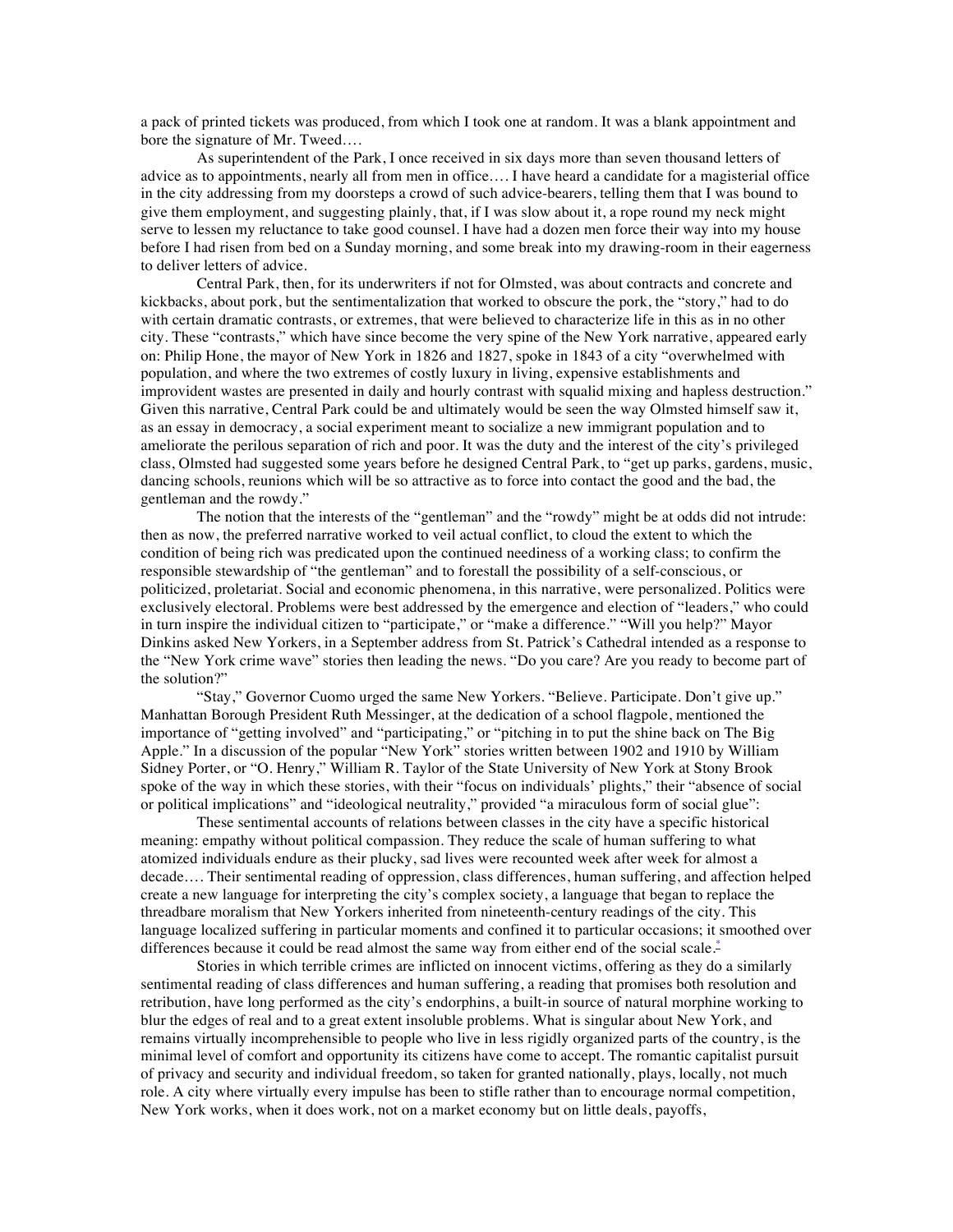a pack of printed tickets was produced, from which I took one at random. It was a blank appointment and bore the signature of Mr. Tweed….

As superintendent of the Park, I once received in six days more than seven thousand letters of advice as to appointments, nearly all from men in office…. I have heard a candidate for a magisterial office in the city addressing from my doorsteps a crowd of such advice-bearers, telling them that I was bound to give them employment, and suggesting plainly, that, if I was slow about it, a rope round my neck might serve to lessen my reluctance to take good counsel. I have had a dozen men force their way into my house before I had risen from bed on a Sunday morning, and some break into my drawing-room in their eagerness to deliver letters of advice.

Central Park, then, for its underwriters if not for Olmsted, was about contracts and concrete and kickbacks, about pork, but the sentimentalization that worked to obscure the pork, the "story," had to do with certain dramatic contrasts, or extremes, that were believed to characterize life in this as in no other city. These "contrasts," which have since become the very spine of the New York narrative, appeared early on: Philip Hone, the mayor of New York in 1826 and 1827, spoke in 1843 of a city "overwhelmed with population, and where the two extremes of costly luxury in living, expensive establishments and improvident wastes are presented in daily and hourly contrast with squalid mixing and hapless destruction." Given this narrative, Central Park could be and ultimately would be seen the way Olmsted himself saw it, as an essay in democracy, a social experiment meant to socialize a new immigrant population and to ameliorate the perilous separation of rich and poor. It was the duty and the interest of the city's privileged class, Olmsted had suggested some years before he designed Central Park, to "get up parks, gardens, music, dancing schools, reunions which will be so attractive as to force into contact the good and the bad, the gentleman and the rowdy."

The notion that the interests of the "gentleman" and the "rowdy" might be at odds did not intrude: then as now, the preferred narrative worked to veil actual conflict, to cloud the extent to which the condition of being rich was predicated upon the continued neediness of a working class; to confirm the responsible stewardship of "the gentleman" and to forestall the possibility of a self-conscious, or politicized, proletariat. Social and economic phenomena, in this narrative, were personalized. Politics were exclusively electoral. Problems were best addressed by the emergence and election of "leaders," who could in turn inspire the individual citizen to "participate," or "make a difference." "Will you help?" Mayor Dinkins asked New Yorkers, in a September address from St. Patrick's Cathedral intended as a response to the "New York crime wave" stories then leading the news. "Do you care? Are you ready to become part of the solution?"

"Stay," Governor Cuomo urged the same New Yorkers. "Believe. Participate. Don't give up." Manhattan Borough President Ruth Messinger, at the dedication of a school flagpole, mentioned the importance of "getting involved" and "participating," or "pitching in to put the shine back on The Big Apple." In a discussion of the popular "New York" stories written between 1902 and 1910 by William Sidney Porter, or "O. Henry," William R. Taylor of the State University of New York at Stony Brook spoke of the way in which these stories, with their "focus on individuals' plights," their "absence of social or political implications" and "ideological neutrality," provided "a miraculous form of social glue":

These sentimental accounts of relations between classes in the city have a specific historical meaning: empathy without political compassion. They reduce the scale of human suffering to what atomized individuals endure as their plucky, sad lives were recounted week after week for almost a decade…. Their sentimental reading of oppression, class differences, human suffering, and affection helped create a new language for interpreting the city's complex society, a language that began to replace the threadbare moralism that New Yorkers inherited from nineteenth-century readings of the city. This language localized suffering in particular moments and confined it to particular occasions; it smoothed over differences because it could be read almost the same way from either end of the social scale. $\dot{\cdot}$ 

Stories in which terrible crimes are inflicted on innocent victims, offering as they do a similarly sentimental reading of class differences and human suffering, a reading that promises both resolution and retribution, have long performed as the city's endorphins, a built-in source of natural morphine working to blur the edges of real and to a great extent insoluble problems. What is singular about New York, and remains virtually incomprehensible to people who live in less rigidly organized parts of the country, is the minimal level of comfort and opportunity its citizens have come to accept. The romantic capitalist pursuit of privacy and security and individual freedom, so taken for granted nationally, plays, locally, not much role. A city where virtually every impulse has been to stifle rather than to encourage normal competition, New York works, when it does work, not on a market economy but on little deals, payoffs,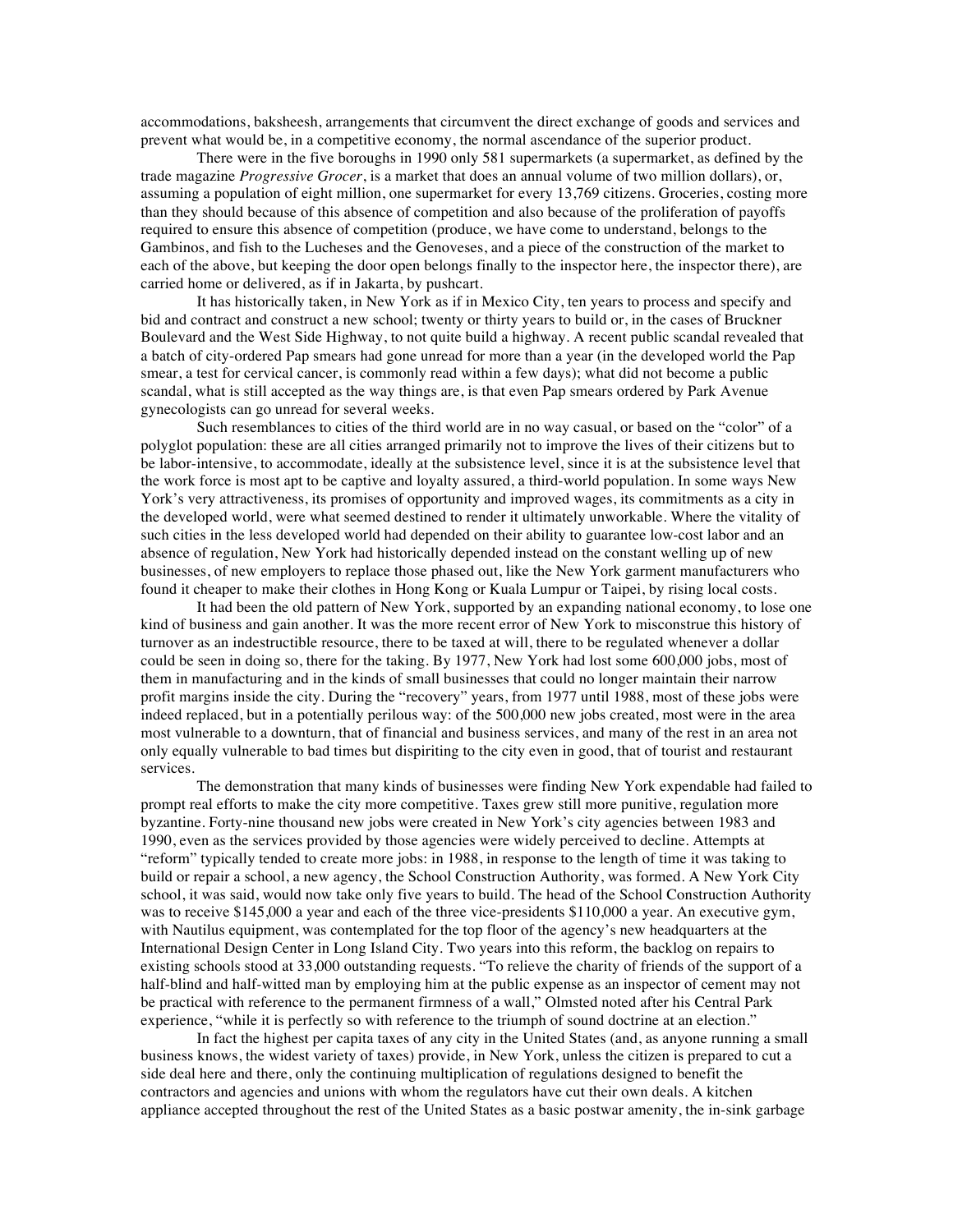accommodations, baksheesh, arrangements that circumvent the direct exchange of goods and services and prevent what would be, in a competitive economy, the normal ascendance of the superior product.

There were in the five boroughs in 1990 only 581 supermarkets (a supermarket, as defined by the trade magazine *Progressive Grocer*, is a market that does an annual volume of two million dollars), or, assuming a population of eight million, one supermarket for every 13,769 citizens. Groceries, costing more than they should because of this absence of competition and also because of the proliferation of payoffs required to ensure this absence of competition (produce, we have come to understand, belongs to the Gambinos, and fish to the Lucheses and the Genoveses, and a piece of the construction of the market to each of the above, but keeping the door open belongs finally to the inspector here, the inspector there), are carried home or delivered, as if in Jakarta, by pushcart.

It has historically taken, in New York as if in Mexico City, ten years to process and specify and bid and contract and construct a new school; twenty or thirty years to build or, in the cases of Bruckner Boulevard and the West Side Highway, to not quite build a highway. A recent public scandal revealed that a batch of city-ordered Pap smears had gone unread for more than a year (in the developed world the Pap smear, a test for cervical cancer, is commonly read within a few days); what did not become a public scandal, what is still accepted as the way things are, is that even Pap smears ordered by Park Avenue gynecologists can go unread for several weeks.

Such resemblances to cities of the third world are in no way casual, or based on the "color" of a polyglot population: these are all cities arranged primarily not to improve the lives of their citizens but to be labor-intensive, to accommodate, ideally at the subsistence level, since it is at the subsistence level that the work force is most apt to be captive and loyalty assured, a third-world population. In some ways New York's very attractiveness, its promises of opportunity and improved wages, its commitments as a city in the developed world, were what seemed destined to render it ultimately unworkable. Where the vitality of such cities in the less developed world had depended on their ability to guarantee low-cost labor and an absence of regulation, New York had historically depended instead on the constant welling up of new businesses, of new employers to replace those phased out, like the New York garment manufacturers who found it cheaper to make their clothes in Hong Kong or Kuala Lumpur or Taipei, by rising local costs.

It had been the old pattern of New York, supported by an expanding national economy, to lose one kind of business and gain another. It was the more recent error of New York to misconstrue this history of turnover as an indestructible resource, there to be taxed at will, there to be regulated whenever a dollar could be seen in doing so, there for the taking. By 1977, New York had lost some 600,000 jobs, most of them in manufacturing and in the kinds of small businesses that could no longer maintain their narrow profit margins inside the city. During the "recovery" years, from 1977 until 1988, most of these jobs were indeed replaced, but in a potentially perilous way: of the 500,000 new jobs created, most were in the area most vulnerable to a downturn, that of financial and business services, and many of the rest in an area not only equally vulnerable to bad times but dispiriting to the city even in good, that of tourist and restaurant services.

The demonstration that many kinds of businesses were finding New York expendable had failed to prompt real efforts to make the city more competitive. Taxes grew still more punitive, regulation more byzantine. Forty-nine thousand new jobs were created in New York's city agencies between 1983 and 1990, even as the services provided by those agencies were widely perceived to decline. Attempts at "reform" typically tended to create more jobs: in 1988, in response to the length of time it was taking to build or repair a school, a new agency, the School Construction Authority, was formed. A New York City school, it was said, would now take only five years to build. The head of the School Construction Authority was to receive \$145,000 a year and each of the three vice-presidents \$110,000 a year. An executive gym, with Nautilus equipment, was contemplated for the top floor of the agency's new headquarters at the International Design Center in Long Island City. Two years into this reform, the backlog on repairs to existing schools stood at 33,000 outstanding requests. "To relieve the charity of friends of the support of a half-blind and half-witted man by employing him at the public expense as an inspector of cement may not be practical with reference to the permanent firmness of a wall," Olmsted noted after his Central Park experience, "while it is perfectly so with reference to the triumph of sound doctrine at an election."

In fact the highest per capita taxes of any city in the United States (and, as anyone running a small business knows, the widest variety of taxes) provide, in New York, unless the citizen is prepared to cut a side deal here and there, only the continuing multiplication of regulations designed to benefit the contractors and agencies and unions with whom the regulators have cut their own deals. A kitchen appliance accepted throughout the rest of the United States as a basic postwar amenity, the in-sink garbage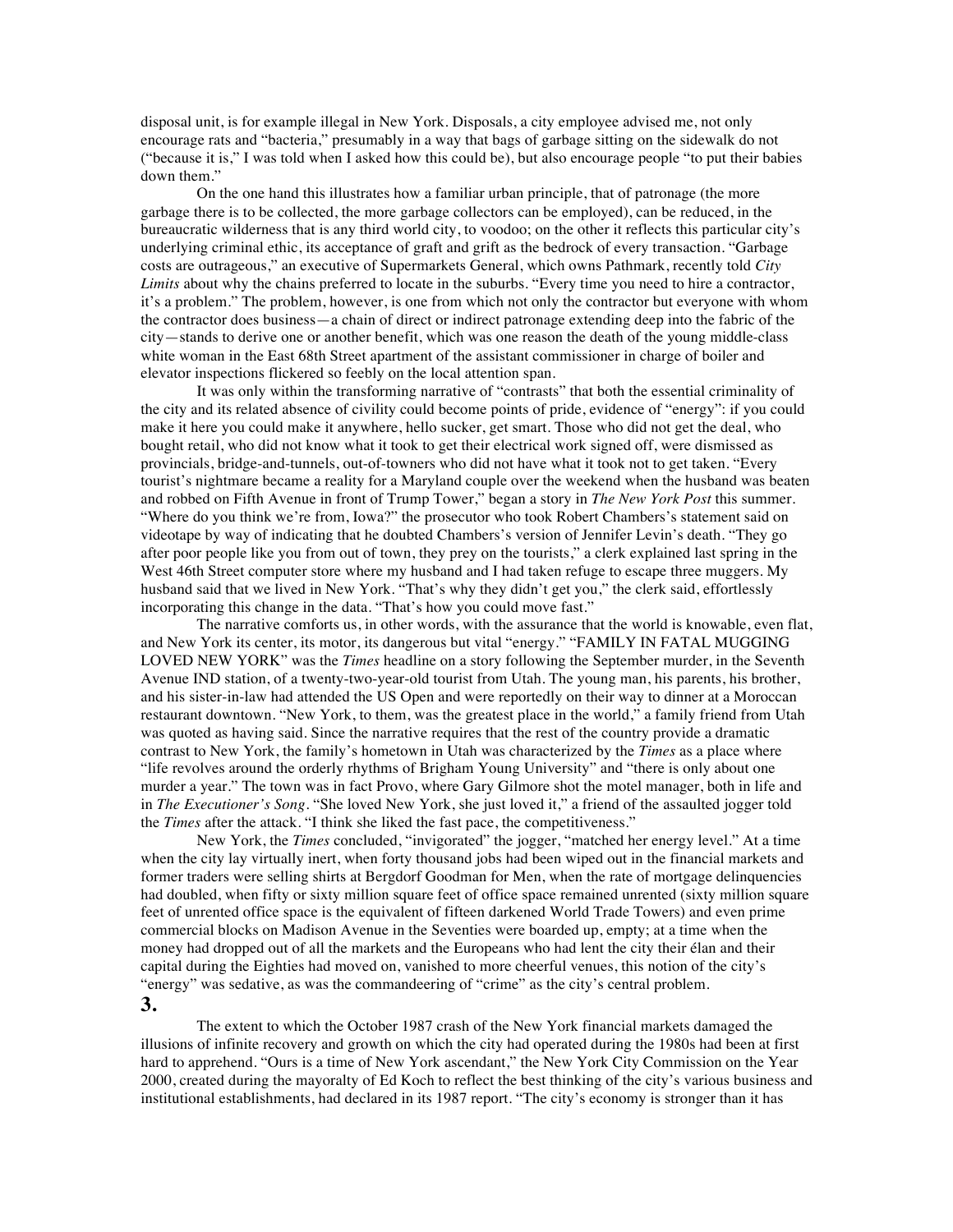disposal unit, is for example illegal in New York. Disposals, a city employee advised me, not only encourage rats and "bacteria," presumably in a way that bags of garbage sitting on the sidewalk do not ("because it is," I was told when I asked how this could be), but also encourage people "to put their babies down them."

On the one hand this illustrates how a familiar urban principle, that of patronage (the more garbage there is to be collected, the more garbage collectors can be employed), can be reduced, in the bureaucratic wilderness that is any third world city, to voodoo; on the other it reflects this particular city's underlying criminal ethic, its acceptance of graft and grift as the bedrock of every transaction. "Garbage costs are outrageous," an executive of Supermarkets General, which owns Pathmark, recently told *City Limits* about why the chains preferred to locate in the suburbs. "Every time you need to hire a contractor, it's a problem." The problem, however, is one from which not only the contractor but everyone with whom the contractor does business—a chain of direct or indirect patronage extending deep into the fabric of the city—stands to derive one or another benefit, which was one reason the death of the young middle-class white woman in the East 68th Street apartment of the assistant commissioner in charge of boiler and elevator inspections flickered so feebly on the local attention span.

It was only within the transforming narrative of "contrasts" that both the essential criminality of the city and its related absence of civility could become points of pride, evidence of "energy": if you could make it here you could make it anywhere, hello sucker, get smart. Those who did not get the deal, who bought retail, who did not know what it took to get their electrical work signed off, were dismissed as provincials, bridge-and-tunnels, out-of-towners who did not have what it took not to get taken. "Every tourist's nightmare became a reality for a Maryland couple over the weekend when the husband was beaten and robbed on Fifth Avenue in front of Trump Tower," began a story in *The New York Post* this summer. "Where do you think we're from, Iowa?" the prosecutor who took Robert Chambers's statement said on videotape by way of indicating that he doubted Chambers's version of Jennifer Levin's death. "They go after poor people like you from out of town, they prey on the tourists," a clerk explained last spring in the West 46th Street computer store where my husband and I had taken refuge to escape three muggers. My husband said that we lived in New York. "That's why they didn't get you," the clerk said, effortlessly incorporating this change in the data. "That's how you could move fast."

The narrative comforts us, in other words, with the assurance that the world is knowable, even flat, and New York its center, its motor, its dangerous but vital "energy." "FAMILY IN FATAL MUGGING LOVED NEW YORK" was the *Times* headline on a story following the September murder, in the Seventh Avenue IND station, of a twenty-two-year-old tourist from Utah. The young man, his parents, his brother, and his sister-in-law had attended the US Open and were reportedly on their way to dinner at a Moroccan restaurant downtown. "New York, to them, was the greatest place in the world," a family friend from Utah was quoted as having said. Since the narrative requires that the rest of the country provide a dramatic contrast to New York, the family's hometown in Utah was characterized by the *Times* as a place where "life revolves around the orderly rhythms of Brigham Young University" and "there is only about one murder a year." The town was in fact Provo, where Gary Gilmore shot the motel manager, both in life and in *The Executioner's Song*. "She loved New York, she just loved it," a friend of the assaulted jogger told the *Times* after the attack. "I think she liked the fast pace, the competitiveness."

New York, the *Times* concluded, "invigorated" the jogger, "matched her energy level." At a time when the city lay virtually inert, when forty thousand jobs had been wiped out in the financial markets and former traders were selling shirts at Bergdorf Goodman for Men, when the rate of mortgage delinquencies had doubled, when fifty or sixty million square feet of office space remained unrented (sixty million square feet of unrented office space is the equivalent of fifteen darkened World Trade Towers) and even prime commercial blocks on Madison Avenue in the Seventies were boarded up, empty; at a time when the money had dropped out of all the markets and the Europeans who had lent the city their élan and their capital during the Eighties had moved on, vanished to more cheerful venues, this notion of the city's "energy" was sedative, as was the commandeering of "crime" as the city's central problem.

# **3.**

The extent to which the October 1987 crash of the New York financial markets damaged the illusions of infinite recovery and growth on which the city had operated during the 1980s had been at first hard to apprehend. "Ours is a time of New York ascendant," the New York City Commission on the Year 2000, created during the mayoralty of Ed Koch to reflect the best thinking of the city's various business and institutional establishments, had declared in its 1987 report. "The city's economy is stronger than it has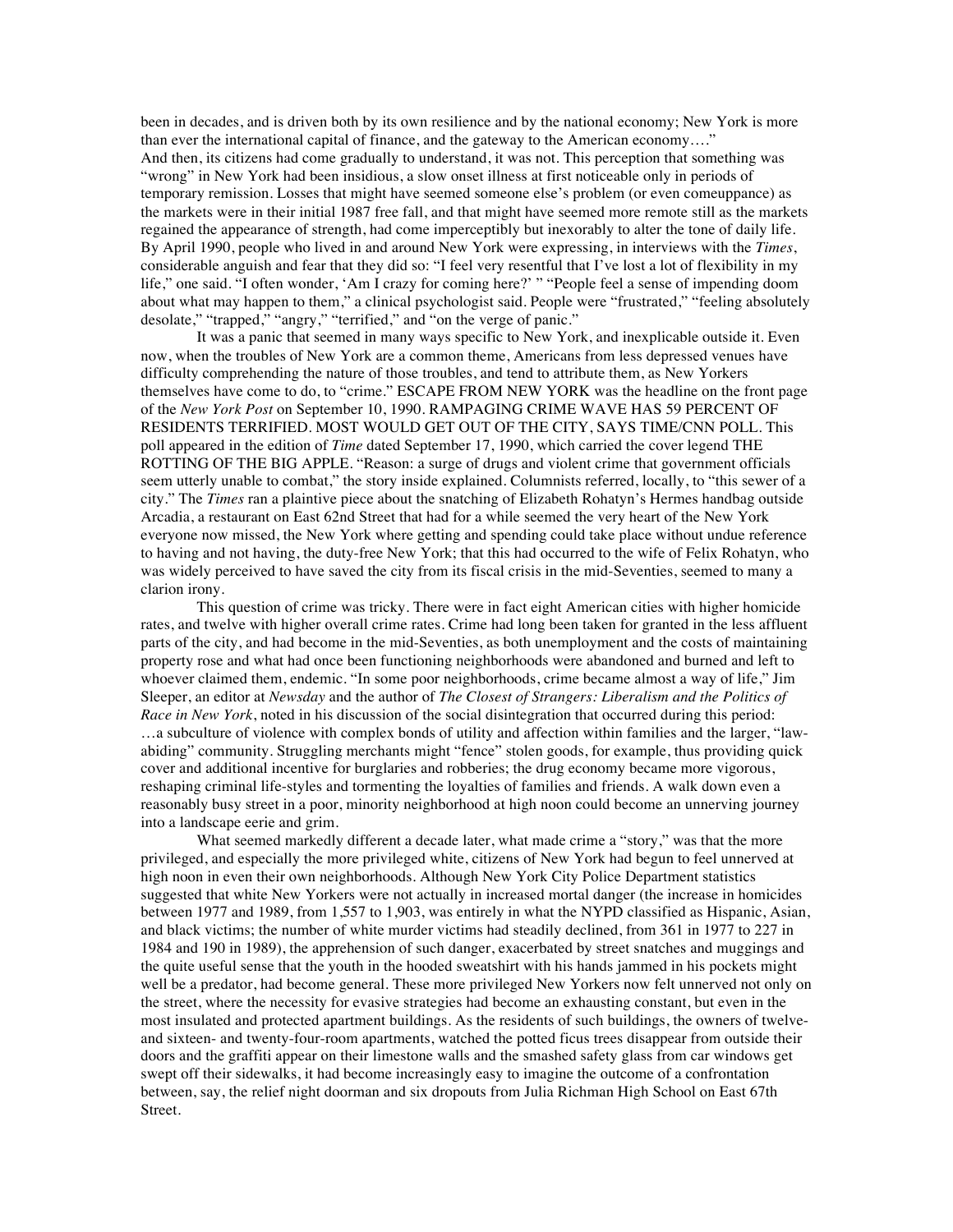been in decades, and is driven both by its own resilience and by the national economy; New York is more than ever the international capital of finance, and the gateway to the American economy…." And then, its citizens had come gradually to understand, it was not. This perception that something was "wrong" in New York had been insidious, a slow onset illness at first noticeable only in periods of temporary remission. Losses that might have seemed someone else's problem (or even comeuppance) as the markets were in their initial 1987 free fall, and that might have seemed more remote still as the markets regained the appearance of strength, had come imperceptibly but inexorably to alter the tone of daily life. By April 1990, people who lived in and around New York were expressing, in interviews with the *Times*, considerable anguish and fear that they did so: "I feel very resentful that I've lost a lot of flexibility in my life," one said. "I often wonder, 'Am I crazy for coming here?' " "People feel a sense of impending doom about what may happen to them," a clinical psychologist said. People were "frustrated," "feeling absolutely desolate," "trapped," "angry," "terrified," and "on the verge of panic."

It was a panic that seemed in many ways specific to New York, and inexplicable outside it. Even now, when the troubles of New York are a common theme, Americans from less depressed venues have difficulty comprehending the nature of those troubles, and tend to attribute them, as New Yorkers themselves have come to do, to "crime." ESCAPE FROM NEW YORK was the headline on the front page of the *New York Post* on September 10, 1990. RAMPAGING CRIME WAVE HAS 59 PERCENT OF RESIDENTS TERRIFIED. MOST WOULD GET OUT OF THE CITY, SAYS TIME/CNN POLL. This poll appeared in the edition of *Time* dated September 17, 1990, which carried the cover legend THE ROTTING OF THE BIG APPLE. "Reason: a surge of drugs and violent crime that government officials seem utterly unable to combat," the story inside explained. Columnists referred, locally, to "this sewer of a city." The *Times* ran a plaintive piece about the snatching of Elizabeth Rohatyn's Hermes handbag outside Arcadia, a restaurant on East 62nd Street that had for a while seemed the very heart of the New York everyone now missed, the New York where getting and spending could take place without undue reference to having and not having, the duty-free New York; that this had occurred to the wife of Felix Rohatyn, who was widely perceived to have saved the city from its fiscal crisis in the mid-Seventies, seemed to many a clarion irony.

This question of crime was tricky. There were in fact eight American cities with higher homicide rates, and twelve with higher overall crime rates. Crime had long been taken for granted in the less affluent parts of the city, and had become in the mid-Seventies, as both unemployment and the costs of maintaining property rose and what had once been functioning neighborhoods were abandoned and burned and left to whoever claimed them, endemic. "In some poor neighborhoods, crime became almost a way of life," Jim Sleeper, an editor at *Newsday* and the author of *The Closest of Strangers: Liberalism and the Politics of Race in New York*, noted in his discussion of the social disintegration that occurred during this period: …a subculture of violence with complex bonds of utility and affection within families and the larger, "lawabiding" community. Struggling merchants might "fence" stolen goods, for example, thus providing quick cover and additional incentive for burglaries and robberies; the drug economy became more vigorous, reshaping criminal life-styles and tormenting the loyalties of families and friends. A walk down even a reasonably busy street in a poor, minority neighborhood at high noon could become an unnerving journey into a landscape eerie and grim.

What seemed markedly different a decade later, what made crime a "story," was that the more privileged, and especially the more privileged white, citizens of New York had begun to feel unnerved at high noon in even their own neighborhoods. Although New York City Police Department statistics suggested that white New Yorkers were not actually in increased mortal danger (the increase in homicides between 1977 and 1989, from 1,557 to 1,903, was entirely in what the NYPD classified as Hispanic, Asian, and black victims; the number of white murder victims had steadily declined, from 361 in 1977 to 227 in 1984 and 190 in 1989), the apprehension of such danger, exacerbated by street snatches and muggings and the quite useful sense that the youth in the hooded sweatshirt with his hands jammed in his pockets might well be a predator, had become general. These more privileged New Yorkers now felt unnerved not only on the street, where the necessity for evasive strategies had become an exhausting constant, but even in the most insulated and protected apartment buildings. As the residents of such buildings, the owners of twelveand sixteen- and twenty-four-room apartments, watched the potted ficus trees disappear from outside their doors and the graffiti appear on their limestone walls and the smashed safety glass from car windows get swept off their sidewalks, it had become increasingly easy to imagine the outcome of a confrontation between, say, the relief night doorman and six dropouts from Julia Richman High School on East 67th Street.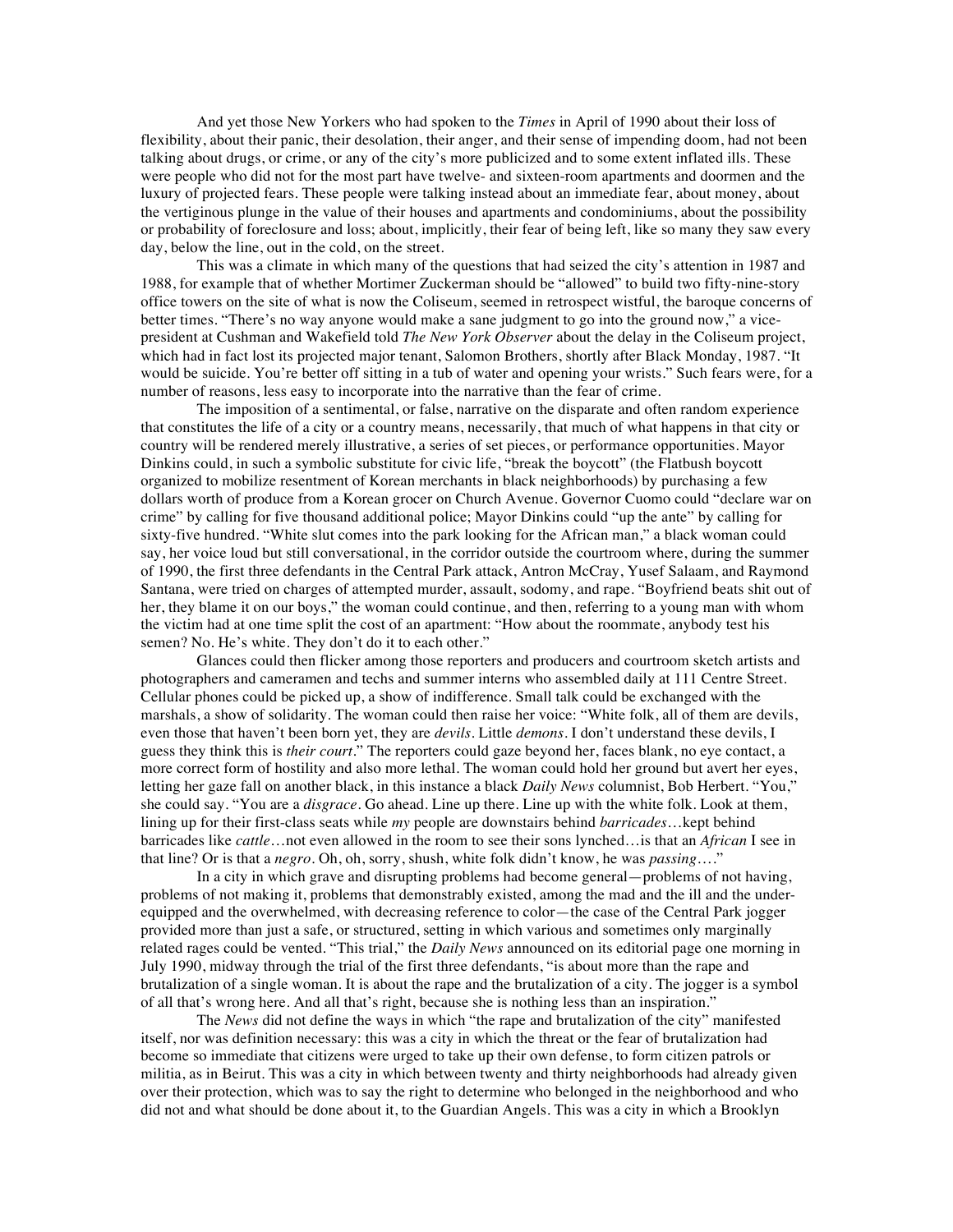And yet those New Yorkers who had spoken to the *Times* in April of 1990 about their loss of flexibility, about their panic, their desolation, their anger, and their sense of impending doom, had not been talking about drugs, or crime, or any of the city's more publicized and to some extent inflated ills. These were people who did not for the most part have twelve- and sixteen-room apartments and doormen and the luxury of projected fears. These people were talking instead about an immediate fear, about money, about the vertiginous plunge in the value of their houses and apartments and condominiums, about the possibility or probability of foreclosure and loss; about, implicitly, their fear of being left, like so many they saw every day, below the line, out in the cold, on the street.

This was a climate in which many of the questions that had seized the city's attention in 1987 and 1988, for example that of whether Mortimer Zuckerman should be "allowed" to build two fifty-nine-story office towers on the site of what is now the Coliseum, seemed in retrospect wistful, the baroque concerns of better times. "There's no way anyone would make a sane judgment to go into the ground now," a vicepresident at Cushman and Wakefield told *The New York Observer* about the delay in the Coliseum project, which had in fact lost its projected major tenant, Salomon Brothers, shortly after Black Monday, 1987. "It would be suicide. You're better off sitting in a tub of water and opening your wrists." Such fears were, for a number of reasons, less easy to incorporate into the narrative than the fear of crime.

The imposition of a sentimental, or false, narrative on the disparate and often random experience that constitutes the life of a city or a country means, necessarily, that much of what happens in that city or country will be rendered merely illustrative, a series of set pieces, or performance opportunities. Mayor Dinkins could, in such a symbolic substitute for civic life, "break the boycott" (the Flatbush boycott organized to mobilize resentment of Korean merchants in black neighborhoods) by purchasing a few dollars worth of produce from a Korean grocer on Church Avenue. Governor Cuomo could "declare war on crime" by calling for five thousand additional police; Mayor Dinkins could "up the ante" by calling for sixty-five hundred. "White slut comes into the park looking for the African man," a black woman could say, her voice loud but still conversational, in the corridor outside the courtroom where, during the summer of 1990, the first three defendants in the Central Park attack, Antron McCray, Yusef Salaam, and Raymond Santana, were tried on charges of attempted murder, assault, sodomy, and rape. "Boyfriend beats shit out of her, they blame it on our boys," the woman could continue, and then, referring to a young man with whom the victim had at one time split the cost of an apartment: "How about the roommate, anybody test his semen? No. He's white. They don't do it to each other."

Glances could then flicker among those reporters and producers and courtroom sketch artists and photographers and cameramen and techs and summer interns who assembled daily at 111 Centre Street. Cellular phones could be picked up, a show of indifference. Small talk could be exchanged with the marshals, a show of solidarity. The woman could then raise her voice: "White folk, all of them are devils, even those that haven't been born yet, they are *devils*. Little *demons*. I don't understand these devils, I guess they think this is *their court*." The reporters could gaze beyond her, faces blank, no eye contact, a more correct form of hostility and also more lethal. The woman could hold her ground but avert her eyes, letting her gaze fall on another black, in this instance a black *Daily News* columnist, Bob Herbert. "You," she could say. "You are a *disgrace*. Go ahead. Line up there. Line up with the white folk. Look at them, lining up for their first-class seats while *my* people are downstairs behind *barricades*…kept behind barricades like *cattle*…not even allowed in the room to see their sons lynched…is that an *African* I see in that line? Or is that a *negro*. Oh, oh, sorry, shush, white folk didn't know, he was *passing*…."

In a city in which grave and disrupting problems had become general—problems of not having, problems of not making it, problems that demonstrably existed, among the mad and the ill and the underequipped and the overwhelmed, with decreasing reference to color—the case of the Central Park jogger provided more than just a safe, or structured, setting in which various and sometimes only marginally related rages could be vented. "This trial," the *Daily News* announced on its editorial page one morning in July 1990, midway through the trial of the first three defendants, "is about more than the rape and brutalization of a single woman. It is about the rape and the brutalization of a city. The jogger is a symbol of all that's wrong here. And all that's right, because she is nothing less than an inspiration."

The *News* did not define the ways in which "the rape and brutalization of the city" manifested itself, nor was definition necessary: this was a city in which the threat or the fear of brutalization had become so immediate that citizens were urged to take up their own defense, to form citizen patrols or militia, as in Beirut. This was a city in which between twenty and thirty neighborhoods had already given over their protection, which was to say the right to determine who belonged in the neighborhood and who did not and what should be done about it, to the Guardian Angels. This was a city in which a Brooklyn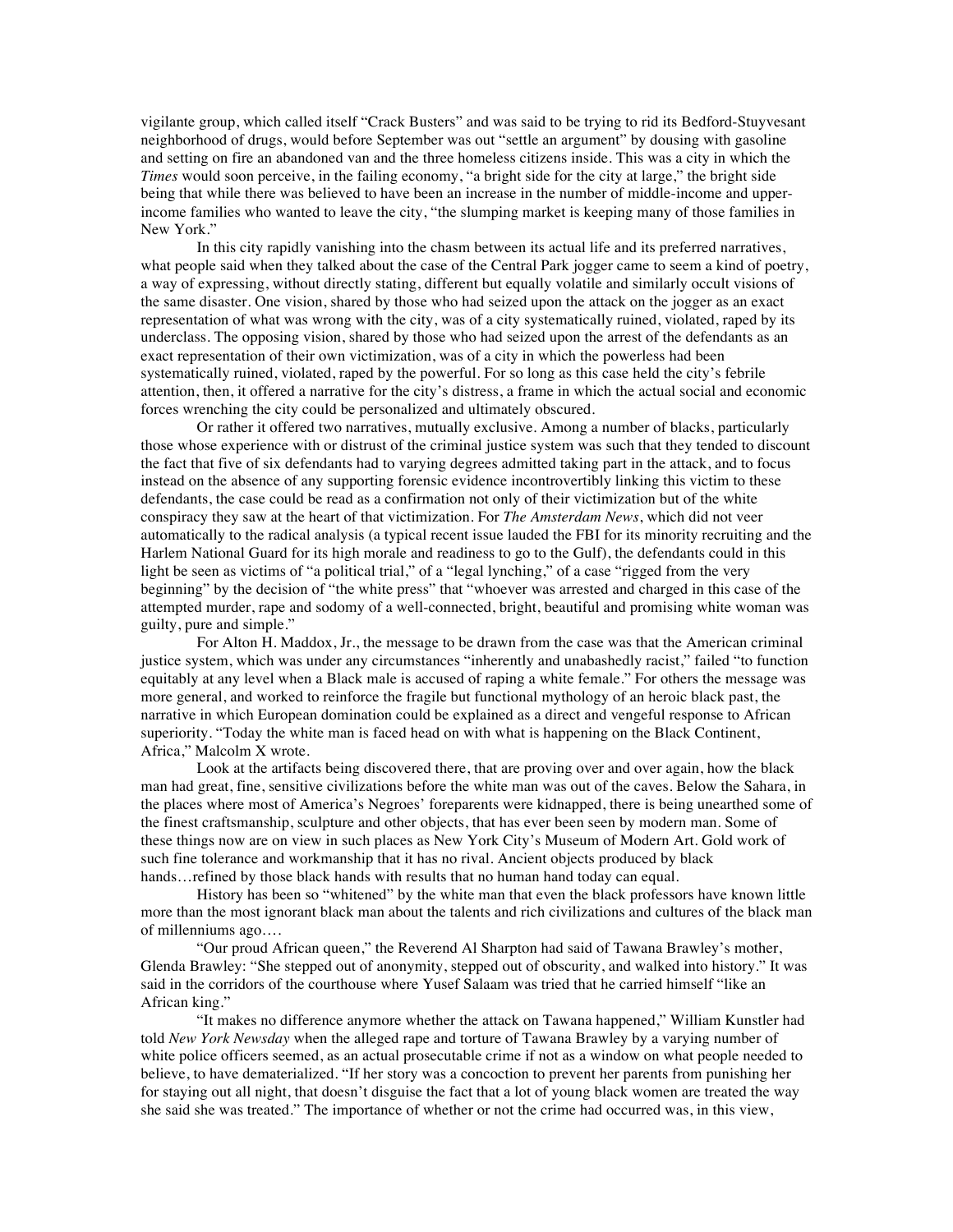vigilante group, which called itself "Crack Busters" and was said to be trying to rid its Bedford-Stuyvesant neighborhood of drugs, would before September was out "settle an argument" by dousing with gasoline and setting on fire an abandoned van and the three homeless citizens inside. This was a city in which the *Times* would soon perceive, in the failing economy, "a bright side for the city at large," the bright side being that while there was believed to have been an increase in the number of middle-income and upperincome families who wanted to leave the city, "the slumping market is keeping many of those families in New York."

In this city rapidly vanishing into the chasm between its actual life and its preferred narratives, what people said when they talked about the case of the Central Park jogger came to seem a kind of poetry, a way of expressing, without directly stating, different but equally volatile and similarly occult visions of the same disaster. One vision, shared by those who had seized upon the attack on the jogger as an exact representation of what was wrong with the city, was of a city systematically ruined, violated, raped by its underclass. The opposing vision, shared by those who had seized upon the arrest of the defendants as an exact representation of their own victimization, was of a city in which the powerless had been systematically ruined, violated, raped by the powerful. For so long as this case held the city's febrile attention, then, it offered a narrative for the city's distress, a frame in which the actual social and economic forces wrenching the city could be personalized and ultimately obscured.

Or rather it offered two narratives, mutually exclusive. Among a number of blacks, particularly those whose experience with or distrust of the criminal justice system was such that they tended to discount the fact that five of six defendants had to varying degrees admitted taking part in the attack, and to focus instead on the absence of any supporting forensic evidence incontrovertibly linking this victim to these defendants, the case could be read as a confirmation not only of their victimization but of the white conspiracy they saw at the heart of that victimization. For *The Amsterdam News*, which did not veer automatically to the radical analysis (a typical recent issue lauded the FBI for its minority recruiting and the Harlem National Guard for its high morale and readiness to go to the Gulf), the defendants could in this light be seen as victims of "a political trial," of a "legal lynching," of a case "rigged from the very beginning" by the decision of "the white press" that "whoever was arrested and charged in this case of the attempted murder, rape and sodomy of a well-connected, bright, beautiful and promising white woman was guilty, pure and simple."

For Alton H. Maddox, Jr., the message to be drawn from the case was that the American criminal justice system, which was under any circumstances "inherently and unabashedly racist," failed "to function equitably at any level when a Black male is accused of raping a white female." For others the message was more general, and worked to reinforce the fragile but functional mythology of an heroic black past, the narrative in which European domination could be explained as a direct and vengeful response to African superiority. "Today the white man is faced head on with what is happening on the Black Continent, Africa," Malcolm X wrote.

Look at the artifacts being discovered there, that are proving over and over again, how the black man had great, fine, sensitive civilizations before the white man was out of the caves. Below the Sahara, in the places where most of America's Negroes' foreparents were kidnapped, there is being unearthed some of the finest craftsmanship, sculpture and other objects, that has ever been seen by modern man. Some of these things now are on view in such places as New York City's Museum of Modern Art. Gold work of such fine tolerance and workmanship that it has no rival. Ancient objects produced by black hands…refined by those black hands with results that no human hand today can equal.

History has been so "whitened" by the white man that even the black professors have known little more than the most ignorant black man about the talents and rich civilizations and cultures of the black man of millenniums ago….

"Our proud African queen," the Reverend Al Sharpton had said of Tawana Brawley's mother, Glenda Brawley: "She stepped out of anonymity, stepped out of obscurity, and walked into history." It was said in the corridors of the courthouse where Yusef Salaam was tried that he carried himself "like an African king."

"It makes no difference anymore whether the attack on Tawana happened," William Kunstler had told *New York Newsday* when the alleged rape and torture of Tawana Brawley by a varying number of white police officers seemed, as an actual prosecutable crime if not as a window on what people needed to believe, to have dematerialized. "If her story was a concoction to prevent her parents from punishing her for staying out all night, that doesn't disguise the fact that a lot of young black women are treated the way she said she was treated." The importance of whether or not the crime had occurred was, in this view,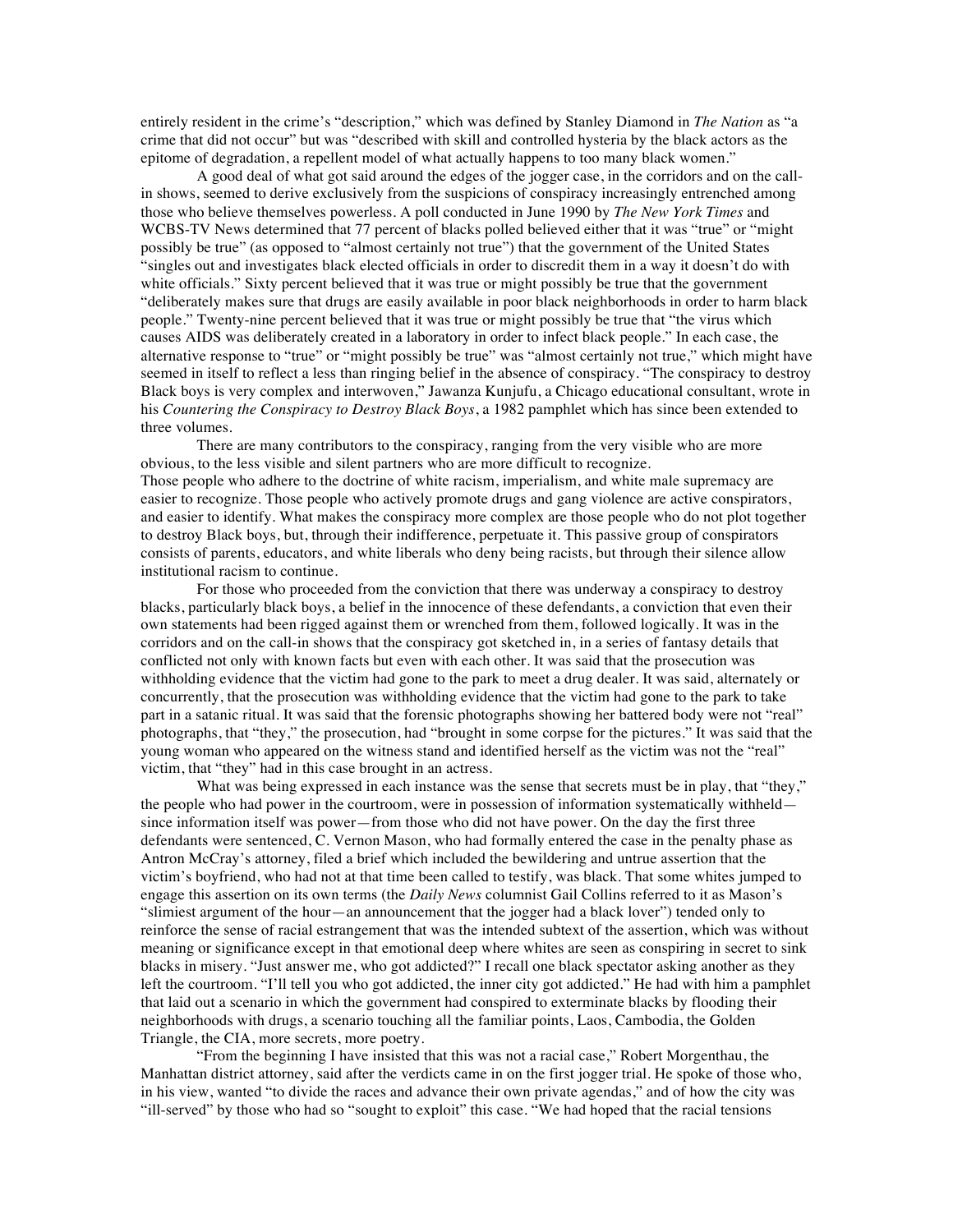entirely resident in the crime's "description," which was defined by Stanley Diamond in *The Nation* as "a crime that did not occur" but was "described with skill and controlled hysteria by the black actors as the epitome of degradation, a repellent model of what actually happens to too many black women."

A good deal of what got said around the edges of the jogger case, in the corridors and on the callin shows, seemed to derive exclusively from the suspicions of conspiracy increasingly entrenched among those who believe themselves powerless. A poll conducted in June 1990 by *The New York Times* and WCBS-TV News determined that 77 percent of blacks polled believed either that it was "true" or "might possibly be true" (as opposed to "almost certainly not true") that the government of the United States "singles out and investigates black elected officials in order to discredit them in a way it doesn't do with white officials." Sixty percent believed that it was true or might possibly be true that the government "deliberately makes sure that drugs are easily available in poor black neighborhoods in order to harm black people." Twenty-nine percent believed that it was true or might possibly be true that "the virus which causes AIDS was deliberately created in a laboratory in order to infect black people." In each case, the alternative response to "true" or "might possibly be true" was "almost certainly not true," which might have seemed in itself to reflect a less than ringing belief in the absence of conspiracy. "The conspiracy to destroy Black boys is very complex and interwoven," Jawanza Kunjufu, a Chicago educational consultant, wrote in his *Countering the Conspiracy to Destroy Black Boys*, a 1982 pamphlet which has since been extended to three volumes.

There are many contributors to the conspiracy, ranging from the very visible who are more obvious, to the less visible and silent partners who are more difficult to recognize. Those people who adhere to the doctrine of white racism, imperialism, and white male supremacy are easier to recognize. Those people who actively promote drugs and gang violence are active conspirators, and easier to identify. What makes the conspiracy more complex are those people who do not plot together to destroy Black boys, but, through their indifference, perpetuate it. This passive group of conspirators consists of parents, educators, and white liberals who deny being racists, but through their silence allow institutional racism to continue.

For those who proceeded from the conviction that there was underway a conspiracy to destroy blacks, particularly black boys, a belief in the innocence of these defendants, a conviction that even their own statements had been rigged against them or wrenched from them, followed logically. It was in the corridors and on the call-in shows that the conspiracy got sketched in, in a series of fantasy details that conflicted not only with known facts but even with each other. It was said that the prosecution was withholding evidence that the victim had gone to the park to meet a drug dealer. It was said, alternately or concurrently, that the prosecution was withholding evidence that the victim had gone to the park to take part in a satanic ritual. It was said that the forensic photographs showing her battered body were not "real" photographs, that "they," the prosecution, had "brought in some corpse for the pictures." It was said that the young woman who appeared on the witness stand and identified herself as the victim was not the "real" victim, that "they" had in this case brought in an actress.

What was being expressed in each instance was the sense that secrets must be in play, that "they," the people who had power in the courtroom, were in possession of information systematically withheld since information itself was power—from those who did not have power. On the day the first three defendants were sentenced, C. Vernon Mason, who had formally entered the case in the penalty phase as Antron McCray's attorney, filed a brief which included the bewildering and untrue assertion that the victim's boyfriend, who had not at that time been called to testify, was black. That some whites jumped to engage this assertion on its own terms (the *Daily News* columnist Gail Collins referred to it as Mason's "slimiest argument of the hour—an announcement that the jogger had a black lover") tended only to reinforce the sense of racial estrangement that was the intended subtext of the assertion, which was without meaning or significance except in that emotional deep where whites are seen as conspiring in secret to sink blacks in misery. "Just answer me, who got addicted?" I recall one black spectator asking another as they left the courtroom. "I'll tell you who got addicted, the inner city got addicted." He had with him a pamphlet that laid out a scenario in which the government had conspired to exterminate blacks by flooding their neighborhoods with drugs, a scenario touching all the familiar points, Laos, Cambodia, the Golden Triangle, the CIA, more secrets, more poetry.

"From the beginning I have insisted that this was not a racial case," Robert Morgenthau, the Manhattan district attorney, said after the verdicts came in on the first jogger trial. He spoke of those who, in his view, wanted "to divide the races and advance their own private agendas," and of how the city was "ill-served" by those who had so "sought to exploit" this case. "We had hoped that the racial tensions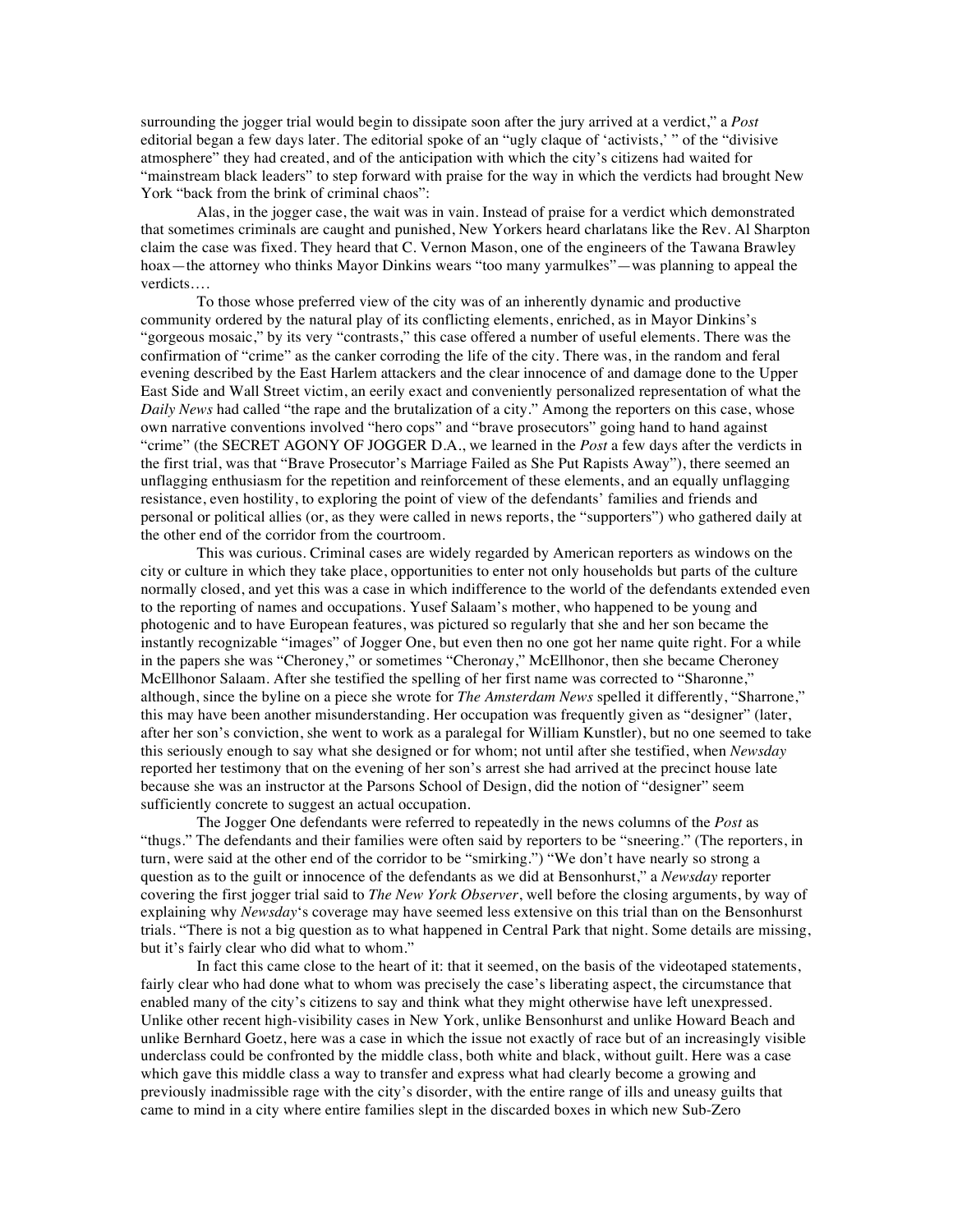surrounding the jogger trial would begin to dissipate soon after the jury arrived at a verdict," a *Post* editorial began a few days later. The editorial spoke of an "ugly claque of 'activists,' " of the "divisive atmosphere" they had created, and of the anticipation with which the city's citizens had waited for "mainstream black leaders" to step forward with praise for the way in which the verdicts had brought New York "back from the brink of criminal chaos":

Alas, in the jogger case, the wait was in vain. Instead of praise for a verdict which demonstrated that sometimes criminals are caught and punished, New Yorkers heard charlatans like the Rev. Al Sharpton claim the case was fixed. They heard that C. Vernon Mason, one of the engineers of the Tawana Brawley hoax—the attorney who thinks Mayor Dinkins wears "too many yarmulkes"—was planning to appeal the verdicts….

To those whose preferred view of the city was of an inherently dynamic and productive community ordered by the natural play of its conflicting elements, enriched, as in Mayor Dinkins's "gorgeous mosaic," by its very "contrasts," this case offered a number of useful elements. There was the confirmation of "crime" as the canker corroding the life of the city. There was, in the random and feral evening described by the East Harlem attackers and the clear innocence of and damage done to the Upper East Side and Wall Street victim, an eerily exact and conveniently personalized representation of what the *Daily News* had called "the rape and the brutalization of a city." Among the reporters on this case, whose own narrative conventions involved "hero cops" and "brave prosecutors" going hand to hand against "crime" (the SECRET AGONY OF JOGGER D.A., we learned in the *Post* a few days after the verdicts in the first trial, was that "Brave Prosecutor's Marriage Failed as She Put Rapists Away"), there seemed an unflagging enthusiasm for the repetition and reinforcement of these elements, and an equally unflagging resistance, even hostility, to exploring the point of view of the defendants' families and friends and personal or political allies (or, as they were called in news reports, the "supporters") who gathered daily at the other end of the corridor from the courtroom.

This was curious. Criminal cases are widely regarded by American reporters as windows on the city or culture in which they take place, opportunities to enter not only households but parts of the culture normally closed, and yet this was a case in which indifference to the world of the defendants extended even to the reporting of names and occupations. Yusef Salaam's mother, who happened to be young and photogenic and to have European features, was pictured so regularly that she and her son became the instantly recognizable "images" of Jogger One, but even then no one got her name quite right. For a while in the papers she was "Cheroney," or sometimes "Cheron*a*y," McEllhonor, then she became Cheroney McEllhonor Salaam. After she testified the spelling of her first name was corrected to "Sharonne," although, since the byline on a piece she wrote for *The Amsterdam News* spelled it differently, "Sharrone," this may have been another misunderstanding. Her occupation was frequently given as "designer" (later, after her son's conviction, she went to work as a paralegal for William Kunstler), but no one seemed to take this seriously enough to say what she designed or for whom; not until after she testified, when *Newsday* reported her testimony that on the evening of her son's arrest she had arrived at the precinct house late because she was an instructor at the Parsons School of Design, did the notion of "designer" seem sufficiently concrete to suggest an actual occupation.

The Jogger One defendants were referred to repeatedly in the news columns of the *Post* as "thugs." The defendants and their families were often said by reporters to be "sneering." (The reporters, in turn, were said at the other end of the corridor to be "smirking.") "We don't have nearly so strong a question as to the guilt or innocence of the defendants as we did at Bensonhurst," a *Newsday* reporter covering the first jogger trial said to *The New York Observer*, well before the closing arguments, by way of explaining why *Newsday*'s coverage may have seemed less extensive on this trial than on the Bensonhurst trials. "There is not a big question as to what happened in Central Park that night. Some details are missing, but it's fairly clear who did what to whom."

In fact this came close to the heart of it: that it seemed, on the basis of the videotaped statements, fairly clear who had done what to whom was precisely the case's liberating aspect, the circumstance that enabled many of the city's citizens to say and think what they might otherwise have left unexpressed. Unlike other recent high-visibility cases in New York, unlike Bensonhurst and unlike Howard Beach and unlike Bernhard Goetz, here was a case in which the issue not exactly of race but of an increasingly visible underclass could be confronted by the middle class, both white and black, without guilt. Here was a case which gave this middle class a way to transfer and express what had clearly become a growing and previously inadmissible rage with the city's disorder, with the entire range of ills and uneasy guilts that came to mind in a city where entire families slept in the discarded boxes in which new Sub-Zero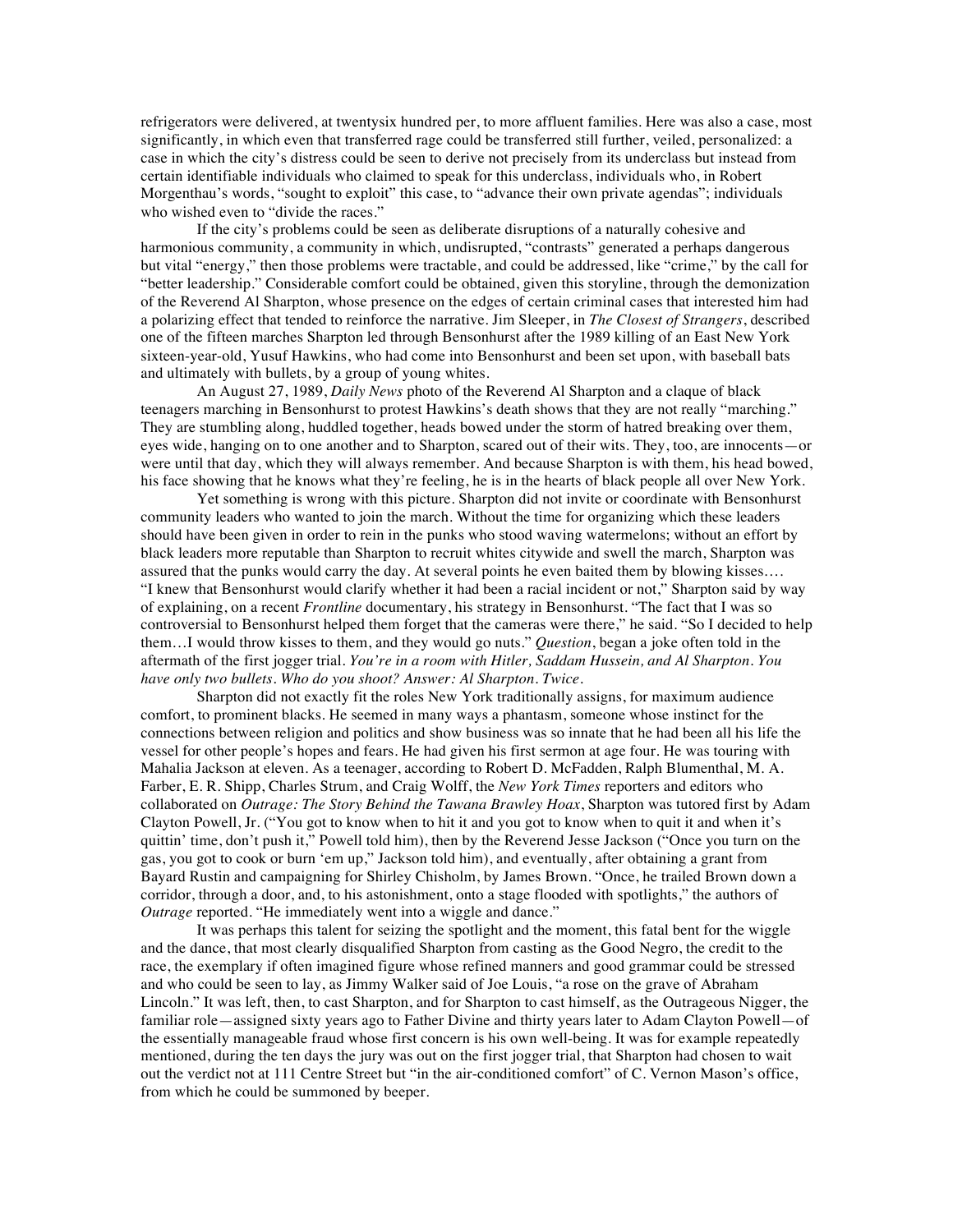refrigerators were delivered, at twentysix hundred per, to more affluent families. Here was also a case, most significantly, in which even that transferred rage could be transferred still further, veiled, personalized: a case in which the city's distress could be seen to derive not precisely from its underclass but instead from certain identifiable individuals who claimed to speak for this underclass, individuals who, in Robert Morgenthau's words, "sought to exploit" this case, to "advance their own private agendas"; individuals who wished even to "divide the races."

If the city's problems could be seen as deliberate disruptions of a naturally cohesive and harmonious community, a community in which, undisrupted, "contrasts" generated a perhaps dangerous but vital "energy," then those problems were tractable, and could be addressed, like "crime," by the call for "better leadership." Considerable comfort could be obtained, given this storyline, through the demonization of the Reverend Al Sharpton, whose presence on the edges of certain criminal cases that interested him had a polarizing effect that tended to reinforce the narrative. Jim Sleeper, in *The Closest of Strangers*, described one of the fifteen marches Sharpton led through Bensonhurst after the 1989 killing of an East New York sixteen-year-old, Yusuf Hawkins, who had come into Bensonhurst and been set upon, with baseball bats and ultimately with bullets, by a group of young whites.

An August 27, 1989, *Daily News* photo of the Reverend Al Sharpton and a claque of black teenagers marching in Bensonhurst to protest Hawkins's death shows that they are not really "marching." They are stumbling along, huddled together, heads bowed under the storm of hatred breaking over them, eyes wide, hanging on to one another and to Sharpton, scared out of their wits. They, too, are innocents—or were until that day, which they will always remember. And because Sharpton is with them, his head bowed, his face showing that he knows what they're feeling, he is in the hearts of black people all over New York.

Yet something is wrong with this picture. Sharpton did not invite or coordinate with Bensonhurst community leaders who wanted to join the march. Without the time for organizing which these leaders should have been given in order to rein in the punks who stood waving watermelons; without an effort by black leaders more reputable than Sharpton to recruit whites citywide and swell the march, Sharpton was assured that the punks would carry the day. At several points he even baited them by blowing kisses…. "I knew that Bensonhurst would clarify whether it had been a racial incident or not," Sharpton said by way of explaining, on a recent *Frontline* documentary, his strategy in Bensonhurst. "The fact that I was so controversial to Bensonhurst helped them forget that the cameras were there," he said. "So I decided to help them…I would throw kisses to them, and they would go nuts." *Question*, began a joke often told in the aftermath of the first jogger trial. *You're in a room with Hitler, Saddam Hussein, and Al Sharpton. You have only two bullets. Who do you shoot? Answer: Al Sharpton. Twice*.

Sharpton did not exactly fit the roles New York traditionally assigns, for maximum audience comfort, to prominent blacks. He seemed in many ways a phantasm, someone whose instinct for the connections between religion and politics and show business was so innate that he had been all his life the vessel for other people's hopes and fears. He had given his first sermon at age four. He was touring with Mahalia Jackson at eleven. As a teenager, according to Robert D. McFadden, Ralph Blumenthal, M. A. Farber, E. R. Shipp, Charles Strum, and Craig Wolff, the *New York Times* reporters and editors who collaborated on *Outrage: The Story Behind the Tawana Brawley Hoax*, Sharpton was tutored first by Adam Clayton Powell, Jr. ("You got to know when to hit it and you got to know when to quit it and when it's quittin' time, don't push it," Powell told him), then by the Reverend Jesse Jackson ("Once you turn on the gas, you got to cook or burn 'em up," Jackson told him), and eventually, after obtaining a grant from Bayard Rustin and campaigning for Shirley Chisholm, by James Brown. "Once, he trailed Brown down a corridor, through a door, and, to his astonishment, onto a stage flooded with spotlights," the authors of *Outrage* reported. "He immediately went into a wiggle and dance."

It was perhaps this talent for seizing the spotlight and the moment, this fatal bent for the wiggle and the dance, that most clearly disqualified Sharpton from casting as the Good Negro, the credit to the race, the exemplary if often imagined figure whose refined manners and good grammar could be stressed and who could be seen to lay, as Jimmy Walker said of Joe Louis, "a rose on the grave of Abraham Lincoln." It was left, then, to cast Sharpton, and for Sharpton to cast himself, as the Outrageous Nigger, the familiar role—assigned sixty years ago to Father Divine and thirty years later to Adam Clayton Powell—of the essentially manageable fraud whose first concern is his own well-being. It was for example repeatedly mentioned, during the ten days the jury was out on the first jogger trial, that Sharpton had chosen to wait out the verdict not at 111 Centre Street but "in the air-conditioned comfort" of C. Vernon Mason's office, from which he could be summoned by beeper.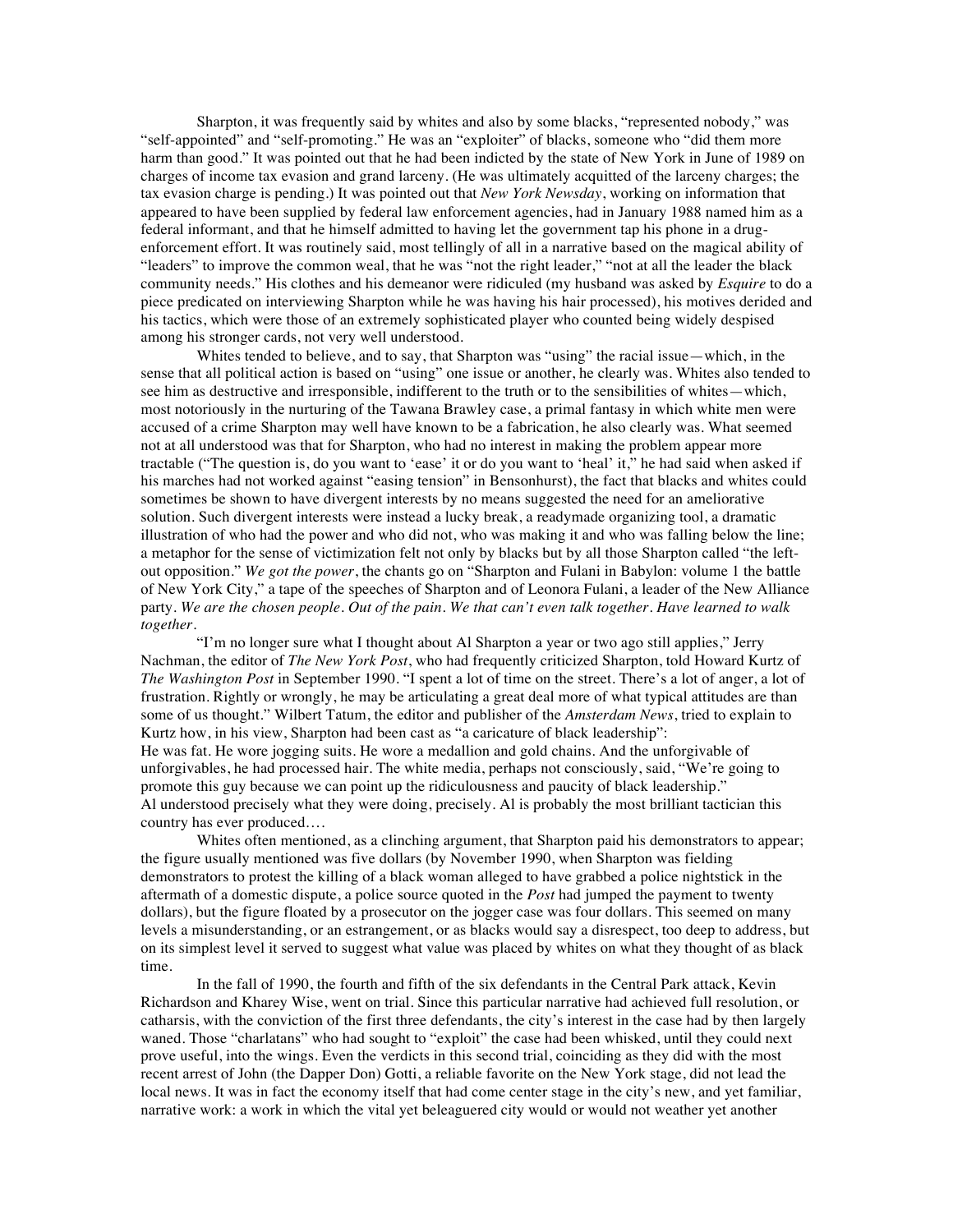Sharpton, it was frequently said by whites and also by some blacks, "represented nobody," was "self-appointed" and "self-promoting." He was an "exploiter" of blacks, someone who "did them more harm than good." It was pointed out that he had been indicted by the state of New York in June of 1989 on charges of income tax evasion and grand larceny. (He was ultimately acquitted of the larceny charges; the tax evasion charge is pending.) It was pointed out that *New York Newsday*, working on information that appeared to have been supplied by federal law enforcement agencies, had in January 1988 named him as a federal informant, and that he himself admitted to having let the government tap his phone in a drugenforcement effort. It was routinely said, most tellingly of all in a narrative based on the magical ability of "leaders" to improve the common weal, that he was "not the right leader," "not at all the leader the black community needs." His clothes and his demeanor were ridiculed (my husband was asked by *Esquire* to do a piece predicated on interviewing Sharpton while he was having his hair processed), his motives derided and his tactics, which were those of an extremely sophisticated player who counted being widely despised among his stronger cards, not very well understood.

Whites tended to believe, and to say, that Sharpton was "using" the racial issue—which, in the sense that all political action is based on "using" one issue or another, he clearly was. Whites also tended to see him as destructive and irresponsible, indifferent to the truth or to the sensibilities of whites—which, most notoriously in the nurturing of the Tawana Brawley case, a primal fantasy in which white men were accused of a crime Sharpton may well have known to be a fabrication, he also clearly was. What seemed not at all understood was that for Sharpton, who had no interest in making the problem appear more tractable ("The question is, do you want to 'ease' it or do you want to 'heal' it," he had said when asked if his marches had not worked against "easing tension" in Bensonhurst), the fact that blacks and whites could sometimes be shown to have divergent interests by no means suggested the need for an ameliorative solution. Such divergent interests were instead a lucky break, a readymade organizing tool, a dramatic illustration of who had the power and who did not, who was making it and who was falling below the line; a metaphor for the sense of victimization felt not only by blacks but by all those Sharpton called "the leftout opposition." *We got the power*, the chants go on "Sharpton and Fulani in Babylon: volume 1 the battle of New York City," a tape of the speeches of Sharpton and of Leonora Fulani, a leader of the New Alliance party. *We are the chosen people. Out of the pain. We that can't even talk together. Have learned to walk together*.

"I'm no longer sure what I thought about Al Sharpton a year or two ago still applies," Jerry Nachman, the editor of *The New York Post*, who had frequently criticized Sharpton, told Howard Kurtz of *The Washington Post* in September 1990. "I spent a lot of time on the street. There's a lot of anger, a lot of frustration. Rightly or wrongly, he may be articulating a great deal more of what typical attitudes are than some of us thought." Wilbert Tatum, the editor and publisher of the *Amsterdam News*, tried to explain to Kurtz how, in his view, Sharpton had been cast as "a caricature of black leadership": He was fat. He wore jogging suits. He wore a medallion and gold chains. And the unforgivable of unforgivables, he had processed hair. The white media, perhaps not consciously, said, "We're going to promote this guy because we can point up the ridiculousness and paucity of black leadership." Al understood precisely what they were doing, precisely. Al is probably the most brilliant tactician this country has ever produced….

Whites often mentioned, as a clinching argument, that Sharpton paid his demonstrators to appear; the figure usually mentioned was five dollars (by November 1990, when Sharpton was fielding demonstrators to protest the killing of a black woman alleged to have grabbed a police nightstick in the aftermath of a domestic dispute, a police source quoted in the *Post* had jumped the payment to twenty dollars), but the figure floated by a prosecutor on the jogger case was four dollars. This seemed on many levels a misunderstanding, or an estrangement, or as blacks would say a disrespect, too deep to address, but on its simplest level it served to suggest what value was placed by whites on what they thought of as black time.

In the fall of 1990, the fourth and fifth of the six defendants in the Central Park attack, Kevin Richardson and Kharey Wise, went on trial. Since this particular narrative had achieved full resolution, or catharsis, with the conviction of the first three defendants, the city's interest in the case had by then largely waned. Those "charlatans" who had sought to "exploit" the case had been whisked, until they could next prove useful, into the wings. Even the verdicts in this second trial, coinciding as they did with the most recent arrest of John (the Dapper Don) Gotti, a reliable favorite on the New York stage, did not lead the local news. It was in fact the economy itself that had come center stage in the city's new, and yet familiar, narrative work: a work in which the vital yet beleaguered city would or would not weather yet another